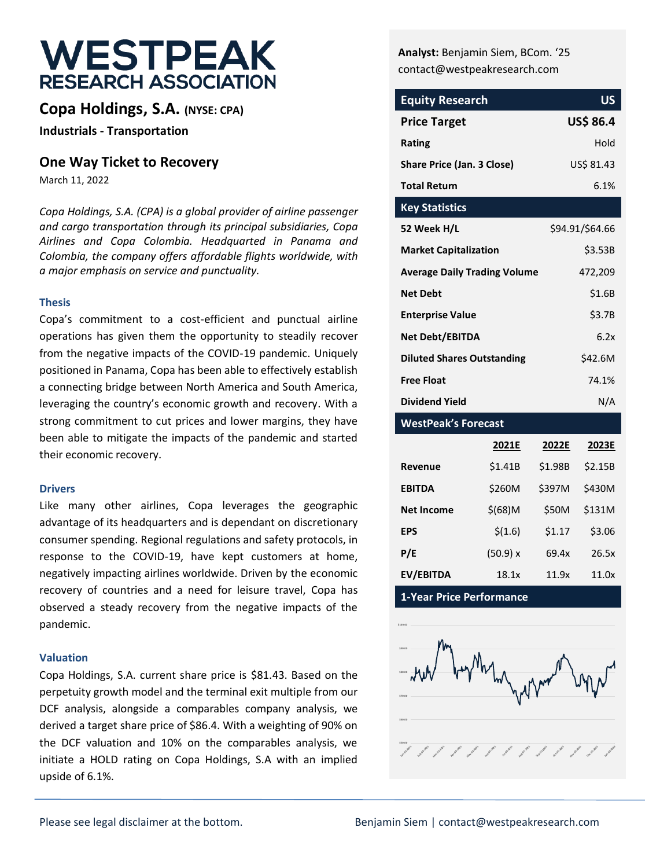

**Copa Holdings, S.A. (NYSE: CPA)**

**Industrials - Transportation**

### **One Way Ticket to Recovery**

March 11, 2022

*Copa Holdings, S.A. (CPA) is a global provider of airline passenger and cargo transportation through its principal subsidiaries, Copa Airlines and Copa Colombia. Headquarted in Panama and Colombia, the company offers affordable flights worldwide, with a major emphasis on service and punctuality.* 

#### **Thesis**

Copa's commitment to a cost-efficient and punctual airline operations has given them the opportunity to steadily recover from the negative impacts of the COVID-19 pandemic. Uniquely positioned in Panama, Copa has been able to effectively establish a connecting bridge between North America and South America, leveraging the country's economic growth and recovery. With a strong commitment to cut prices and lower margins, they have been able to mitigate the impacts of the pandemic and started their economic recovery.

#### **Drivers**

Like many other airlines, Copa leverages the geographic advantage of its headquarters and is dependant on discretionary consumer spending. Regional regulations and safety protocols, in response to the COVID-19, have kept customers at home, negatively impacting airlines worldwide. Driven by the economic recovery of countries and a need for leisure travel, Copa has observed a steady recovery from the negative impacts of the pandemic.

#### **Valuation**

Copa Holdings, S.A. current share price is \$81.43. Based on the perpetuity growth model and the terminal exit multiple from our DCF analysis, alongside a comparables company analysis, we derived a target share price of \$86.4. With a weighting of 90% on the DCF valuation and 10% on the comparables analysis, we initiate a HOLD rating on Copa Holdings, S.A with an implied upside of 6.1%.

**Analyst:** Benjamin Siem, BCom. '25 contact@westpeakresearch.com

| <b>Equity Research</b>              | US               |
|-------------------------------------|------------------|
| <b>Price Target</b>                 | <b>US\$ 86.4</b> |
| Rating                              | Hold             |
| <b>Share Price (Jan. 3 Close)</b>   | US\$ 81.43       |
| <b>Total Return</b>                 | 6.1%             |
| <b>Key Statistics</b>               |                  |
| 52 Week H/L                         | \$94.91/\$64.66  |
| <b>Market Capitalization</b>        | \$3.53B          |
| <b>Average Daily Trading Volume</b> | 472,209          |
| <b>Net Debt</b>                     | \$1.6B           |
| <b>Enterprise Value</b>             | \$3.7B           |
| Net Debt/EBITDA                     | 6.2x             |
| <b>Diluted Shares Outstanding</b>   | \$42.6M          |
| <b>Free Float</b>                   | 74.1%            |
| <b>Dividend Yield</b>               | N/A              |

#### **WestPeak's Forecast**

|                   | 2021E     | 2022E   | 2023E   |
|-------------------|-----------|---------|---------|
| Revenue           | \$1.41B   | \$1.98B | \$2.15B |
| <b>EBITDA</b>     | \$260M    | \$397M  | \$430M  |
| <b>Net Income</b> | $$$ (68)M | \$50M   | \$131M  |
| <b>EPS</b>        | \$(1.6)   | \$1.17  | \$3.06  |
| P/E               | (50.9) x  | 69.4x   | 26.5x   |
| EV/EBITDA         | 18.1x     | 11.9x   | 11.0x   |

**1-Year Price Performance**

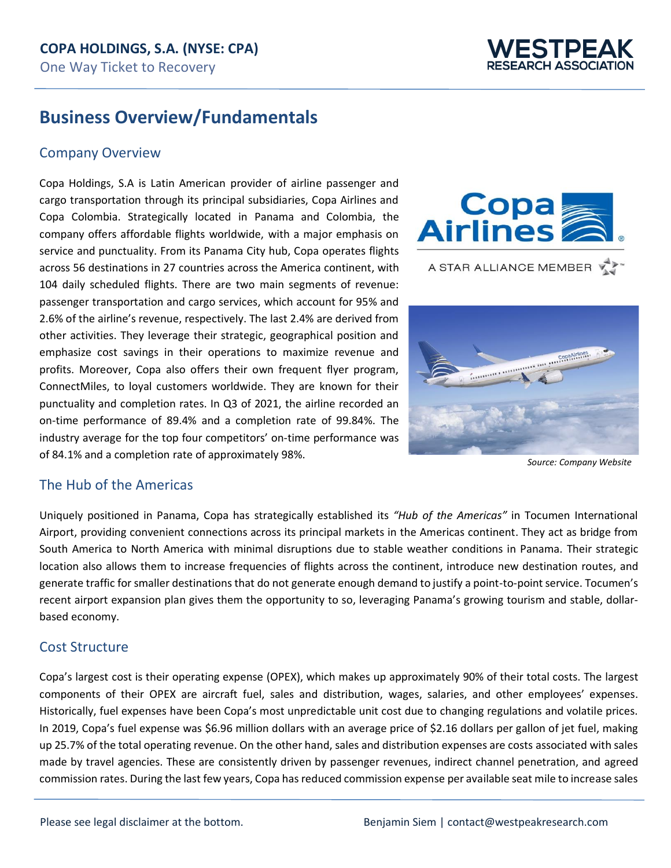

# **Business Overview/Fundamentals**

### Company Overview

Copa Holdings, S.A is Latin American provider of airline passenger and cargo transportation through its principal subsidiaries, Copa Airlines and Copa Colombia. Strategically located in Panama and Colombia, the company offers affordable flights worldwide, with a major emphasis on service and punctuality. From its Panama City hub, Copa operates flights across 56 destinations in 27 countries across the America continent, with 104 daily scheduled flights. There are two main segments of revenue: passenger transportation and cargo services, which account for 95% and 2.6% of the airline's revenue, respectively. The last 2.4% are derived from other activities. They leverage their strategic, geographical position and emphasize cost savings in their operations to maximize revenue and profits. Moreover, Copa also offers their own frequent flyer program, ConnectMiles, to loyal customers worldwide. They are known for their punctuality and completion rates. In Q3 of 2021, the airline recorded an on-time performance of 89.4% and a completion rate of 99.84%. The industry average for the top four competitors' on-time performance was of 84.1% and a completion rate of approximately 98%.





*Source: Company Website*

### The Hub of the Americas

Uniquely positioned in Panama, Copa has strategically established its *"Hub of the Americas"* in Tocumen International Airport, providing convenient connections across its principal markets in the Americas continent. They act as bridge from South America to North America with minimal disruptions due to stable weather conditions in Panama. Their strategic location also allows them to increase frequencies of flights across the continent, introduce new destination routes, and generate traffic for smaller destinations that do not generate enough demand to justify a point-to-point service. Tocumen's recent airport expansion plan gives them the opportunity to so, leveraging Panama's growing tourism and stable, dollarbased economy.

#### Cost Structure

Copa's largest cost is their operating expense (OPEX), which makes up approximately 90% of their total costs. The largest components of their OPEX are aircraft fuel, sales and distribution, wages, salaries, and other employees' expenses. Historically, fuel expenses have been Copa's most unpredictable unit cost due to changing regulations and volatile prices. In 2019, Copa's fuel expense was \$6.96 million dollars with an average price of \$2.16 dollars per gallon of jet fuel, making up 25.7% of the total operating revenue. On the other hand, sales and distribution expenses are costs associated with sales made by travel agencies. These are consistently driven by passenger revenues, indirect channel penetration, and agreed commission rates. During the last few years, Copa has reduced commission expense per available seat mile to increase sales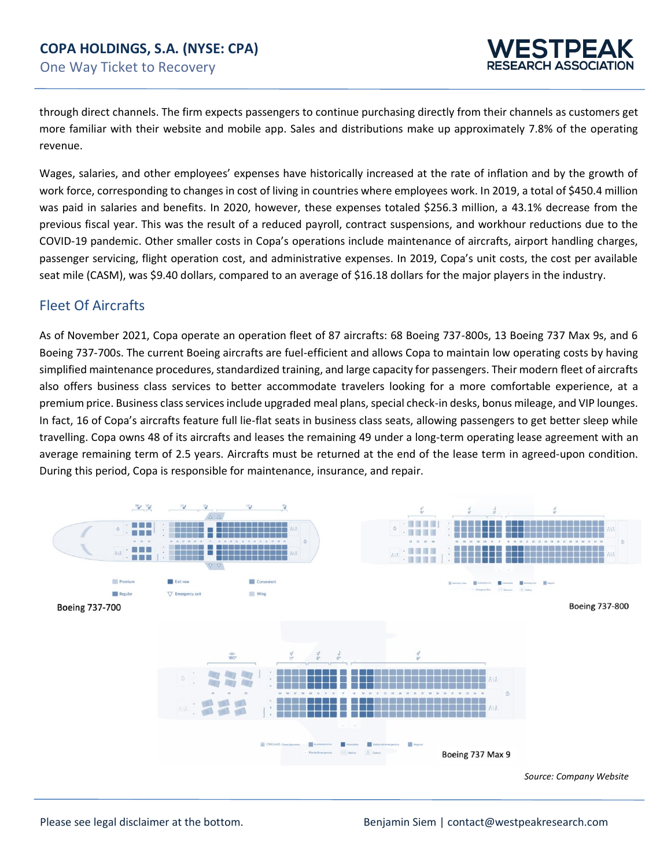

through direct channels. The firm expects passengers to continue purchasing directly from their channels as customers get more familiar with their website and mobile app. Sales and distributions make up approximately 7.8% of the operating revenue.

Wages, salaries, and other employees' expenses have historically increased at the rate of inflation and by the growth of work force, corresponding to changes in cost of living in countries where employees work. In 2019, a total of \$450.4 million was paid in salaries and benefits. In 2020, however, these expenses totaled \$256.3 million, a 43.1% decrease from the previous fiscal year. This was the result of a reduced payroll, contract suspensions, and workhour reductions due to the COVID-19 pandemic. Other smaller costs in Copa's operations include maintenance of aircrafts, airport handling charges, passenger servicing, flight operation cost, and administrative expenses. In 2019, Copa's unit costs, the cost per available seat mile (CASM), was \$9.40 dollars, compared to an average of \$16.18 dollars for the major players in the industry.

## Fleet Of Aircrafts

As of November 2021, Copa operate an operation fleet of 87 aircrafts: 68 Boeing 737-800s, 13 Boeing 737 Max 9s, and 6 Boeing 737-700s. The current Boeing aircrafts are fuel-efficient and allows Copa to maintain low operating costs by having simplified maintenance procedures, standardized training, and large capacity for passengers. Their modern fleet of aircrafts also offers business class services to better accommodate travelers looking for a more comfortable experience, at a premium price. Business class services include upgraded meal plans, special check-in desks, bonus mileage, and VIP lounges. In fact, 16 of Copa's aircrafts feature full lie-flat seats in business class seats, allowing passengers to get better sleep while travelling. Copa owns 48 of its aircrafts and leases the remaining 49 under a long-term operating lease agreement with an average remaining term of 2.5 years. Aircrafts must be returned at the end of the lease term in agreed-upon condition. During this period, Copa is responsible for maintenance, insurance, and repair.

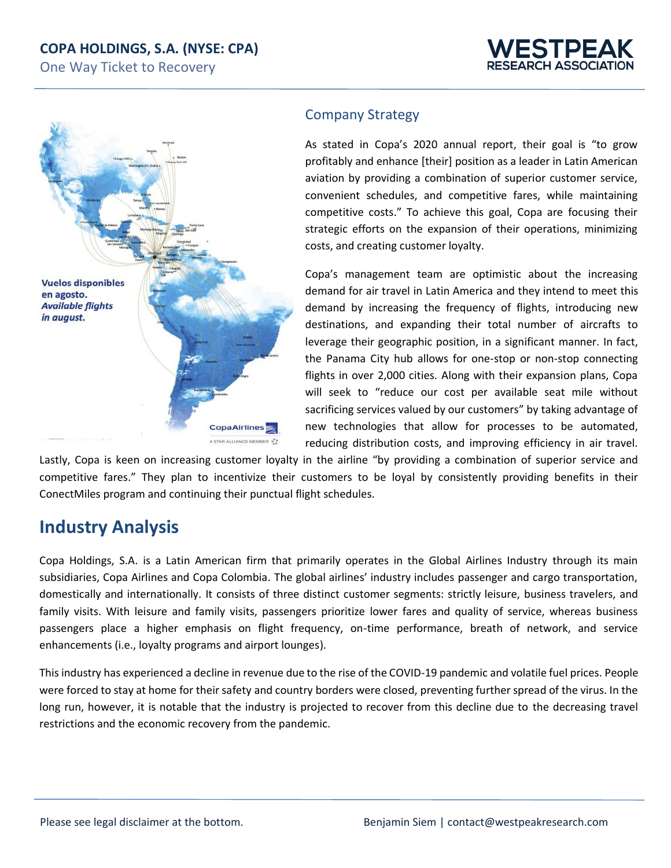# **COPA HOLDINGS, S.A. (NYSE: CPA)**

One Way Ticket to Recovery





# Company Strategy

As stated in Copa's 2020 annual report, their goal is "to grow profitably and enhance [their] position as a leader in Latin American aviation by providing a combination of superior customer service, convenient schedules, and competitive fares, while maintaining competitive costs." To achieve this goal, Copa are focusing their strategic efforts on the expansion of their operations, minimizing costs, and creating customer loyalty.

Copa's management team are optimistic about the increasing demand for air travel in Latin America and they intend to meet this demand by increasing the frequency of flights, introducing new destinations, and expanding their total number of aircrafts to leverage their geographic position, in a significant manner. In fact, the Panama City hub allows for one-stop or non-stop connecting flights in over 2,000 cities. Along with their expansion plans, Copa will seek to "reduce our cost per available seat mile without sacrificing services valued by our customers" by taking advantage of new technologies that allow for processes to be automated, reducing distribution costs, and improving efficiency in air travel.

Lastly, Copa is keen on increasing customer loyalty in the airline "by providing a combination of superior service and competitive fares." They plan to incentivize their customers to be loyal by consistently providing benefits in their ConectMiles program and continuing their punctual flight schedules.

# **Industry Analysis**

Copa Holdings, S.A. is a Latin American firm that primarily operates in the Global Airlines Industry through its main subsidiaries, Copa Airlines and Copa Colombia. The global airlines' industry includes passenger and cargo transportation, domestically and internationally. It consists of three distinct customer segments: strictly leisure, business travelers, and family visits. With leisure and family visits, passengers prioritize lower fares and quality of service, whereas business passengers place a higher emphasis on flight frequency, on-time performance, breath of network, and service enhancements (i.e., loyalty programs and airport lounges).

This industry has experienced a decline in revenue due to the rise of the COVID-19 pandemic and volatile fuel prices. People were forced to stay at home for their safety and country borders were closed, preventing further spread of the virus. In the long run, however, it is notable that the industry is projected to recover from this decline due to the decreasing travel restrictions and the economic recovery from the pandemic.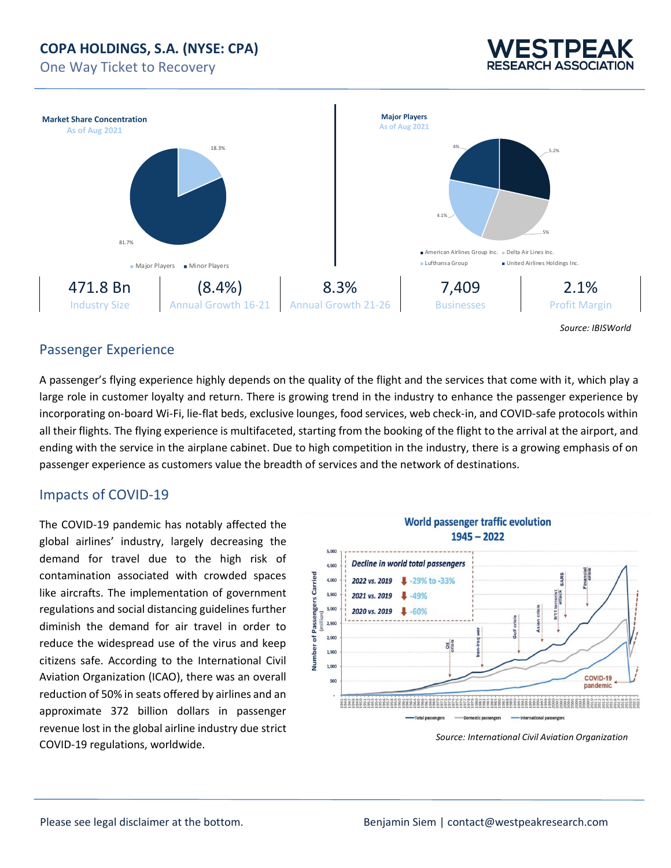## **COPA HOLDINGS, S.A. (NYSE: CPA)**

One Way Ticket to Recovery





### Passenger Experience

A passenger's flying experience highly depends on the quality of the flight and the services that come with it, which play a large role in customer loyalty and return. There is growing trend in the industry to enhance the passenger experience by incorporating on-board Wi-Fi, lie-flat beds, exclusive lounges, food services, web check-in, and COVID-safe protocols within all their flights. The flying experience is multifaceted, starting from the booking of the flight to the arrival at the airport, and ending with the service in the airplane cabinet. Due to high competition in the industry, there is a growing emphasis of on passenger experience as customers value the breadth of services and the network of destinations.

### Impacts of COVID-19

The COVID-19 pandemic has notably affected the global airlines' industry, largely decreasing the demand for travel due to the high risk of contamination associated with crowded spaces like aircrafts. The implementation of government regulations and social distancing guidelines further diminish the demand for air travel in order to reduce the widespread use of the virus and keep citizens safe. According to the International Civil Aviation Organization (ICAO), there was an overall reduction of 50% in seats offered by airlines and an approximate 372 billion dollars in passenger revenue lost in the global airline industry due strict COVID-19 regulations, worldwide.



*Source: International Civil Aviation Organization*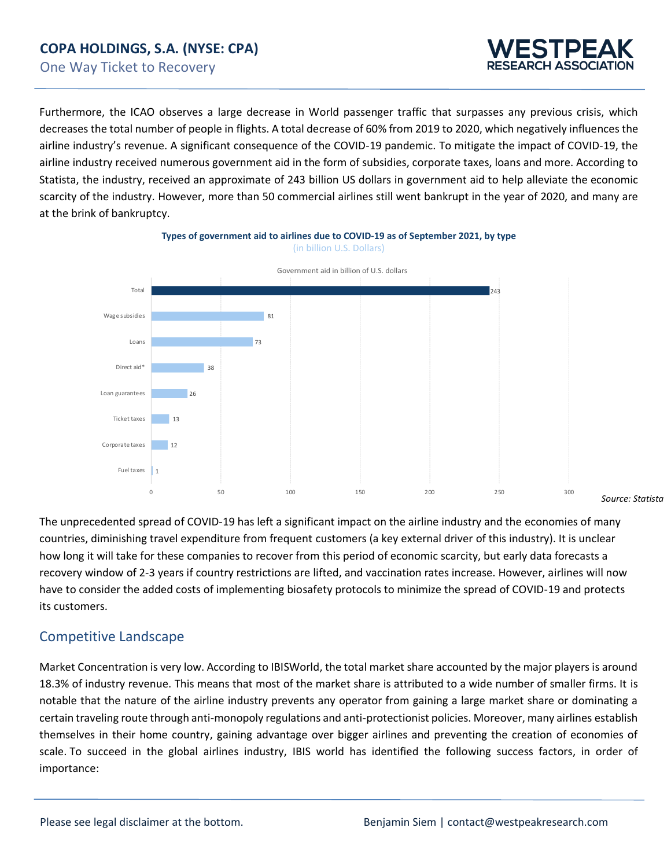

Furthermore, the ICAO observes a large decrease in World passenger traffic that surpasses any previous crisis, which decreases the total number of people in flights. A total decrease of 60% from 2019 to 2020, which negatively influences the airline industry's revenue. A significant consequence of the COVID-19 pandemic. To mitigate the impact of COVID-19, the airline industry received numerous government aid in the form of subsidies, corporate taxes, loans and more. According to Statista, the industry, received an approximate of 243 billion US dollars in government aid to help alleviate the economic scarcity of the industry. However, more than 50 commercial airlines still went bankrupt in the year of 2020, and many are at the brink of bankruptcy.



The unprecedented spread of COVID-19 has left a significant impact on the airline industry and the economies of many countries, diminishing travel expenditure from frequent customers (a key external driver of this industry). It is unclear how long it will take for these companies to recover from this period of economic scarcity, but early data forecasts a recovery window of 2-3 years if country restrictions are lifted, and vaccination rates increase. However, airlines will now have to consider the added costs of implementing biosafety protocols to minimize the spread of COVID-19 and protects its customers.

# Competitive Landscape

Market Concentration is very low. According to IBISWorld, the total market share accounted by the major players is around 18.3% of industry revenue. This means that most of the market share is attributed to a wide number of smaller firms. It is notable that the nature of the airline industry prevents any operator from gaining a large market share or dominating a certain traveling route through anti-monopoly regulations and anti-protectionist policies. Moreover, many airlines establish themselves in their home country, gaining advantage over bigger airlines and preventing the creation of economies of scale. To succeed in the global airlines industry, IBIS world has identified the following success factors, in order of importance: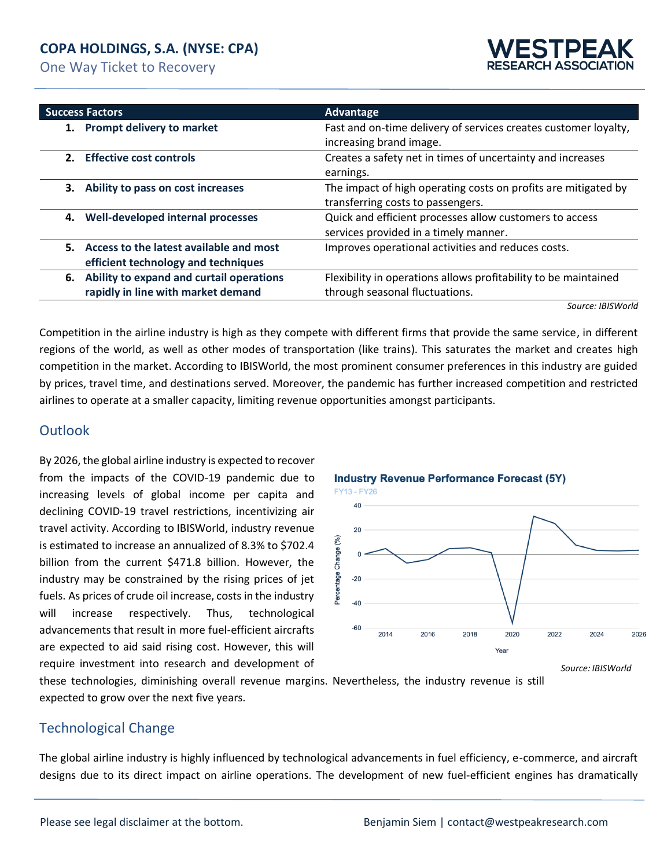One Way Ticket to Recovery



|    | <b>Success Factors</b>                      | Advantage                                                       |
|----|---------------------------------------------|-----------------------------------------------------------------|
| 1. | Prompt delivery to market                   | Fast and on-time delivery of services creates customer loyalty, |
|    |                                             | increasing brand image.                                         |
|    | 2. Effective cost controls                  | Creates a safety net in times of uncertainty and increases      |
|    |                                             | earnings.                                                       |
| З. | Ability to pass on cost increases           | The impact of high operating costs on profits are mitigated by  |
|    |                                             | transferring costs to passengers.                               |
| 4. | Well-developed internal processes           | Quick and efficient processes allow customers to access         |
|    |                                             | services provided in a timely manner.                           |
| 5. | Access to the latest available and most     | Improves operational activities and reduces costs.              |
|    | efficient technology and techniques         |                                                                 |
|    | 6. Ability to expand and curtail operations | Flexibility in operations allows profitability to be maintained |
|    | rapidly in line with market demand          | through seasonal fluctuations.                                  |
|    |                                             | Source: IRISWorld                                               |

*Source: IBISWorld*

Competition in the airline industry is high as they compete with different firms that provide the same service, in different regions of the world, as well as other modes of transportation (like trains). This saturates the market and creates high competition in the market. According to IBISWorld, the most prominent consumer preferences in this industry are guided by prices, travel time, and destinations served. Moreover, the pandemic has further increased competition and restricted airlines to operate at a smaller capacity, limiting revenue opportunities amongst participants.

## **Outlook**

By 2026, the global airline industry is expected to recover from the impacts of the COVID-19 pandemic due to increasing levels of global income per capita and declining COVID-19 travel restrictions, incentivizing air travel activity. According to IBISWorld, industry revenue is estimated to increase an annualized of 8.3% to \$702.4 billion from the current \$471.8 billion. However, the industry may be constrained by the rising prices of jet fuels. As prices of crude oil increase, costs in the industry will increase respectively. Thus, technological advancements that result in more fuel-efficient aircrafts are expected to aid said rising cost. However, this will require investment into research and development of





these technologies, diminishing overall revenue margins. Nevertheless, the industry revenue is still expected to grow over the next five years.

# Technological Change

The global airline industry is highly influenced by technological advancements in fuel efficiency, e-commerce, and aircraft designs due to its direct impact on airline operations. The development of new fuel-efficient engines has dramatically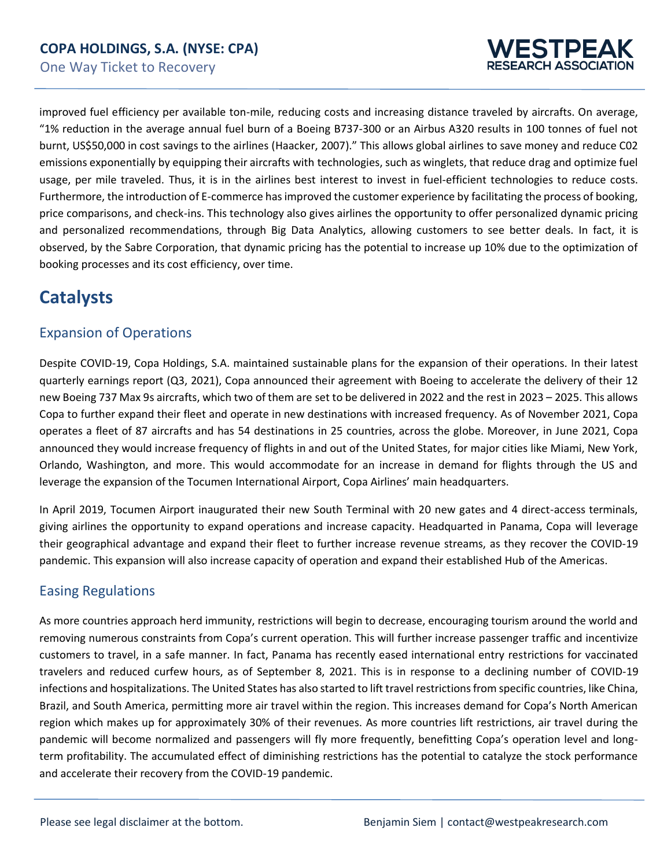

improved fuel efficiency per available ton-mile, reducing costs and increasing distance traveled by aircrafts. On average, "1% reduction in the average annual fuel burn of a Boeing B737-300 or an Airbus A320 results in 100 tonnes of fuel not burnt, US\$50,000 in cost savings to the airlines (Haacker, 2007)." This allows global airlines to save money and reduce C02 emissions exponentially by equipping their aircrafts with technologies, such as winglets, that reduce drag and optimize fuel usage, per mile traveled. Thus, it is in the airlines best interest to invest in fuel-efficient technologies to reduce costs. Furthermore, the introduction of E-commerce has improved the customer experience by facilitating the process of booking, price comparisons, and check-ins. This technology also gives airlines the opportunity to offer personalized dynamic pricing and personalized recommendations, through Big Data Analytics, allowing customers to see better deals. In fact, it is observed, by the Sabre Corporation, that dynamic pricing has the potential to increase up 10% due to the optimization of booking processes and its cost efficiency, over time.

# **Catalysts**

# Expansion of Operations

Despite COVID-19, Copa Holdings, S.A. maintained sustainable plans for the expansion of their operations. In their latest quarterly earnings report (Q3, 2021), Copa announced their agreement with Boeing to accelerate the delivery of their 12 new Boeing 737 Max 9s aircrafts, which two of them are set to be delivered in 2022 and the rest in 2023 – 2025. This allows Copa to further expand their fleet and operate in new destinations with increased frequency. As of November 2021, Copa operates a fleet of 87 aircrafts and has 54 destinations in 25 countries, across the globe. Moreover, in June 2021, Copa announced they would increase frequency of flights in and out of the United States, for major cities like Miami, New York, Orlando, Washington, and more. This would accommodate for an increase in demand for flights through the US and leverage the expansion of the Tocumen International Airport, Copa Airlines' main headquarters.

In April 2019, Tocumen Airport inaugurated their new South Terminal with 20 new gates and 4 direct-access terminals, giving airlines the opportunity to expand operations and increase capacity. Headquarted in Panama, Copa will leverage their geographical advantage and expand their fleet to further increase revenue streams, as they recover the COVID-19 pandemic. This expansion will also increase capacity of operation and expand their established Hub of the Americas.

# Easing Regulations

As more countries approach herd immunity, restrictions will begin to decrease, encouraging tourism around the world and removing numerous constraints from Copa's current operation. This will further increase passenger traffic and incentivize customers to travel, in a safe manner. In fact, Panama has recently eased international entry restrictions for vaccinated travelers and reduced curfew hours, as of September 8, 2021. This is in response to a declining number of COVID-19 infections and hospitalizations. The United States has also started to lift travel restrictions from specific countries, like China, Brazil, and South America, permitting more air travel within the region. This increases demand for Copa's North American region which makes up for approximately 30% of their revenues. As more countries lift restrictions, air travel during the pandemic will become normalized and passengers will fly more frequently, benefitting Copa's operation level and longterm profitability. The accumulated effect of diminishing restrictions has the potential to catalyze the stock performance and accelerate their recovery from the COVID-19 pandemic.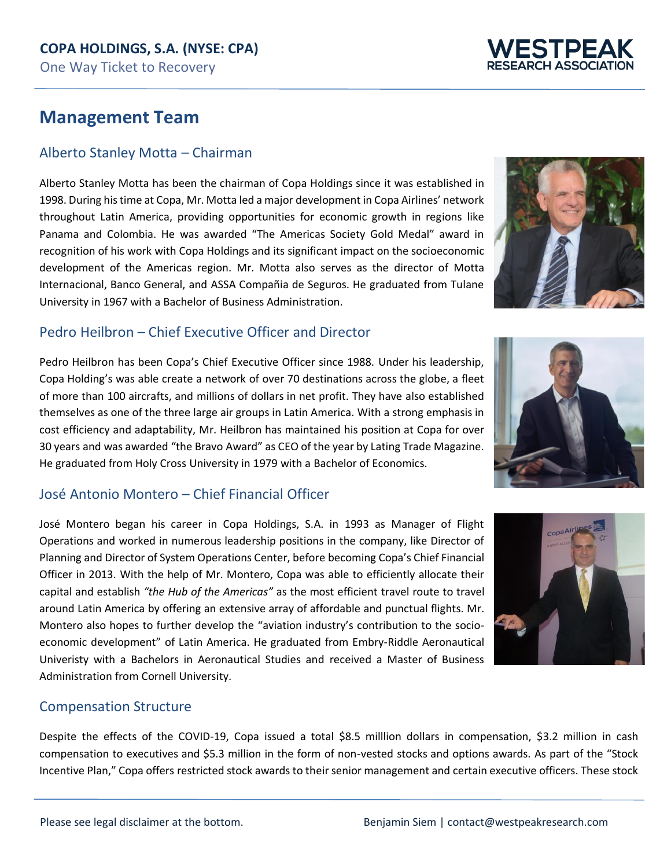# **Management Team**

# Alberto Stanley Motta – Chairman

Alberto Stanley Motta has been the chairman of Copa Holdings since it was established in 1998. During his time at Copa, Mr. Motta led a major development in Copa Airlines' network throughout Latin America, providing opportunities for economic growth in regions like Panama and Colombia. He was awarded "The Americas Society Gold Medal" award in recognition of his work with Copa Holdings and its significant impact on the socioeconomic development of the Americas region. Mr. Motta also serves as the director of Motta Internacional, Banco General, and ASSA Compañia de Seguros. He graduated from Tulane University in 1967 with a Bachelor of Business Administration.

# Pedro Heilbron – Chief Executive Officer and Director

Pedro Heilbron has been Copa's Chief Executive Officer since 1988. Under his leadership, Copa Holding's was able create a network of over 70 destinations across the globe, a fleet of more than 100 aircrafts, and millions of dollars in net profit. They have also established themselves as one of the three large air groups in Latin America. With a strong emphasis in cost efficiency and adaptability, Mr. Heilbron has maintained his position at Copa for over 30 years and was awarded "the Bravo Award" as CEO of the year by Lating Trade Magazine. He graduated from Holy Cross University in 1979 with a Bachelor of Economics.

# José Antonio Montero – Chief Financial Officer

José Montero began his career in Copa Holdings, S.A. in 1993 as Manager of Flight Operations and worked in numerous leadership positions in the company, like Director of Planning and Director of System Operations Center, before becoming Copa's Chief Financial Officer in 2013. With the help of Mr. Montero, Copa was able to efficiently allocate their capital and establish *"the Hub of the Americas"* as the most efficient travel route to travel around Latin America by offering an extensive array of affordable and punctual flights. Mr. Montero also hopes to further develop the "aviation industry's contribution to the socioeconomic development" of Latin America. He graduated from Embry-Riddle Aeronautical Univeristy with a Bachelors in Aeronautical Studies and received a Master of Business Administration from Cornell University.

# Compensation Structure

Despite the effects of the COVID-19, Copa issued a total \$8.5 milllion dollars in compensation, \$3.2 million in cash compensation to executives and \$5.3 million in the form of non-vested stocks and options awards. As part of the "Stock Incentive Plan," Copa offers restricted stock awards to their senior management and certain executive officers. These stock





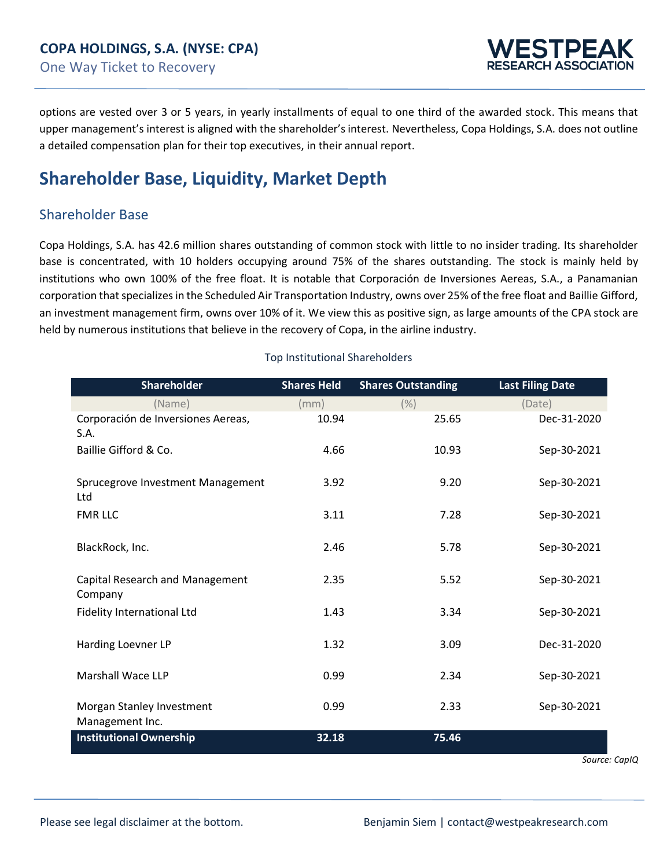

options are vested over 3 or 5 years, in yearly installments of equal to one third of the awarded stock. This means that upper management's interest is aligned with the shareholder's interest. Nevertheless, Copa Holdings, S.A. does not outline a detailed compensation plan for their top executives, in their annual report.

# **Shareholder Base, Liquidity, Market Depth**

## Shareholder Base

Copa Holdings, S.A. has 42.6 million shares outstanding of common stock with little to no insider trading. Its shareholder base is concentrated, with 10 holders occupying around 75% of the shares outstanding. The stock is mainly held by institutions who own 100% of the free float. It is notable that Corporación de Inversiones Aereas, S.A., a Panamanian corporation that specializes in the Scheduled Air Transportation Industry, owns over 25% of the free float and Baillie Gifford, an investment management firm, owns over 10% of it. We view this as positive sign, as large amounts of the CPA stock are held by numerous institutions that believe in the recovery of Copa, in the airline industry.

| <b>Shareholder</b>                           | <b>Shares Held</b> | <b>Shares Outstanding</b> | <b>Last Filing Date</b> |
|----------------------------------------------|--------------------|---------------------------|-------------------------|
| (Name)                                       | (mm)               | (% )                      | (Date)                  |
| Corporación de Inversiones Aereas,<br>S.A.   | 10.94              | 25.65                     | Dec-31-2020             |
| Baillie Gifford & Co.                        | 4.66               | 10.93                     | Sep-30-2021             |
| Sprucegrove Investment Management<br>Ltd     | 3.92               | 9.20                      | Sep-30-2021             |
| <b>FMR LLC</b>                               | 3.11               | 7.28                      | Sep-30-2021             |
| BlackRock, Inc.                              | 2.46               | 5.78                      | Sep-30-2021             |
| Capital Research and Management<br>Company   | 2.35               | 5.52                      | Sep-30-2021             |
| Fidelity International Ltd                   | 1.43               | 3.34                      | Sep-30-2021             |
| Harding Loevner LP                           | 1.32               | 3.09                      | Dec-31-2020             |
| <b>Marshall Wace LLP</b>                     | 0.99               | 2.34                      | Sep-30-2021             |
| Morgan Stanley Investment<br>Management Inc. | 0.99               | 2.33                      | Sep-30-2021             |
| <b>Institutional Ownership</b>               | 32.18              | 75.46                     | $C_{2}$                 |

#### Top Institutional Shareholders

*Source: CapIQ*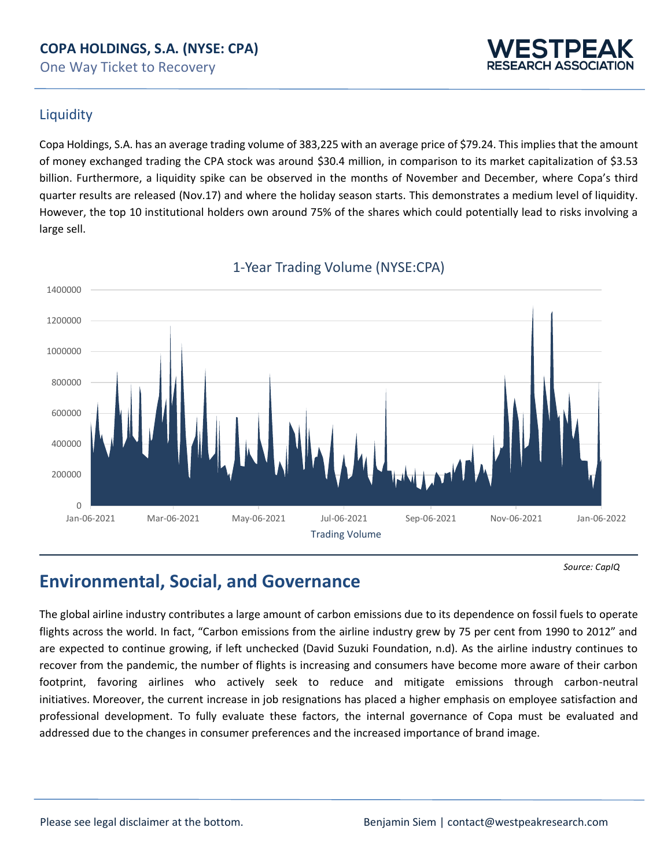

# **Liquidity**

Copa Holdings, S.A. has an average trading volume of 383,225 with an average price of \$79.24. This implies that the amount of money exchanged trading the CPA stock was around \$30.4 million, in comparison to its market capitalization of \$3.53 billion. Furthermore, a liquidity spike can be observed in the months of November and December, where Copa's third quarter results are released (Nov.17) and where the holiday season starts. This demonstrates a medium level of liquidity. However, the top 10 institutional holders own around 75% of the shares which could potentially lead to risks involving a large sell.



# 1-Year Trading Volume (NYSE:CPA)

*Source: CapIQ*

# **Environmental, Social, and Governance**

The global airline industry contributes a large amount of carbon emissions due to its dependence on fossil fuels to operate flights across the world. In fact, "Carbon emissions from the airline industry grew by 75 per cent from 1990 to 2012" and are expected to continue growing, if left unchecked (David Suzuki Foundation, n.d). As the airline industry continues to recover from the pandemic, the number of flights is increasing and consumers have become more aware of their carbon footprint, favoring airlines who actively seek to reduce and mitigate emissions through carbon-neutral initiatives. Moreover, the current increase in job resignations has placed a higher emphasis on employee satisfaction and professional development. To fully evaluate these factors, the internal governance of Copa must be evaluated and addressed due to the changes in consumer preferences and the increased importance of brand image.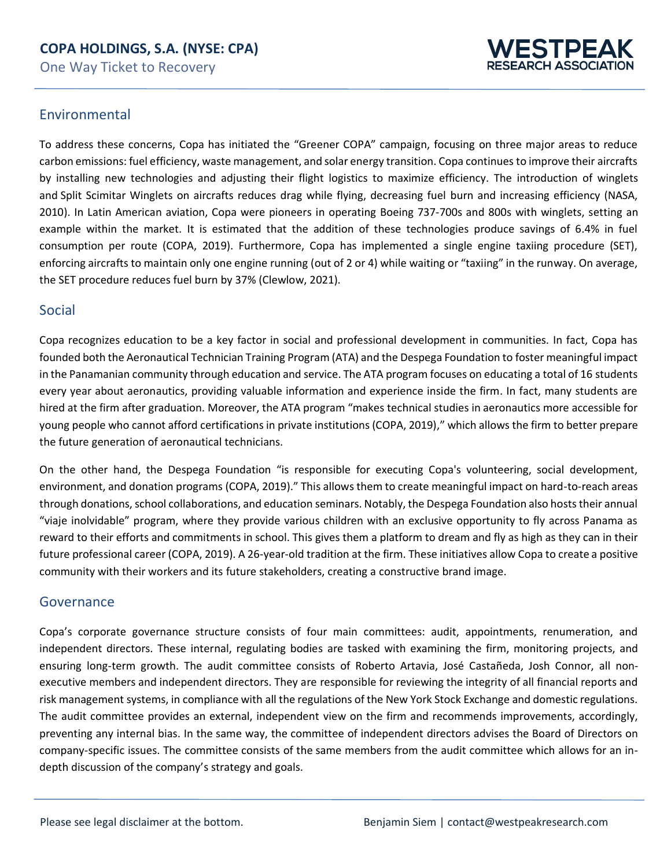

## Environmental

To address these concerns, Copa has initiated the "Greener COPA" campaign, focusing on three major areas to reduce carbon emissions: fuel efficiency, waste management, and solar energy transition. Copa continues to improve their aircrafts by installing new technologies and adjusting their flight logistics to maximize efficiency. The introduction of winglets and Split Scimitar Winglets on aircrafts reduces drag while flying, decreasing fuel burn and increasing efficiency (NASA, 2010). In Latin American aviation, Copa were pioneers in operating Boeing 737-700s and 800s with winglets, setting an example within the market. It is estimated that the addition of these technologies produce savings of 6.4% in fuel consumption per route (COPA, 2019). Furthermore, Copa has implemented a single engine taxiing procedure (SET), enforcing aircrafts to maintain only one engine running (out of 2 or 4) while waiting or "taxiing" in the runway. On average, the SET procedure reduces fuel burn by 37% (Clewlow, 2021).

#### Social

Copa recognizes education to be a key factor in social and professional development in communities. In fact, Copa has founded both the Aeronautical Technician Training Program (ATA) and the Despega Foundation to foster meaningful impact in the Panamanian community through education and service. The ATA program focuses on educating a total of 16 students every year about aeronautics, providing valuable information and experience inside the firm. In fact, many students are hired at the firm after graduation. Moreover, the ATA program "makes technical studies in aeronautics more accessible for young people who cannot afford certifications in private institutions (COPA, 2019)," which allows the firm to better prepare the future generation of aeronautical technicians.

On the other hand, the Despega Foundation "is responsible for executing Copa's volunteering, social development, environment, and donation programs (COPA, 2019)." This allows them to create meaningful impact on hard-to-reach areas through donations, school collaborations, and education seminars. Notably, the Despega Foundation also hosts their annual "viaje inolvidable" program, where they provide various children with an exclusive opportunity to fly across Panama as reward to their efforts and commitments in school. This gives them a platform to dream and fly as high as they can in their future professional career (COPA, 2019). A 26-year-old tradition at the firm. These initiatives allow Copa to create a positive community with their workers and its future stakeholders, creating a constructive brand image.

#### Governance

Copa's corporate governance structure consists of four main committees: audit, appointments, renumeration, and independent directors. These internal, regulating bodies are tasked with examining the firm, monitoring projects, and ensuring long-term growth. The audit committee consists of Roberto Artavia, José Castañeda, Josh Connor, all nonexecutive members and independent directors. They are responsible for reviewing the integrity of all financial reports and risk management systems, in compliance with all the regulations of the New York Stock Exchange and domestic regulations. The audit committee provides an external, independent view on the firm and recommends improvements, accordingly, preventing any internal bias. In the same way, the committee of independent directors advises the Board of Directors on company-specific issues. The committee consists of the same members from the audit committee which allows for an indepth discussion of the company's strategy and goals.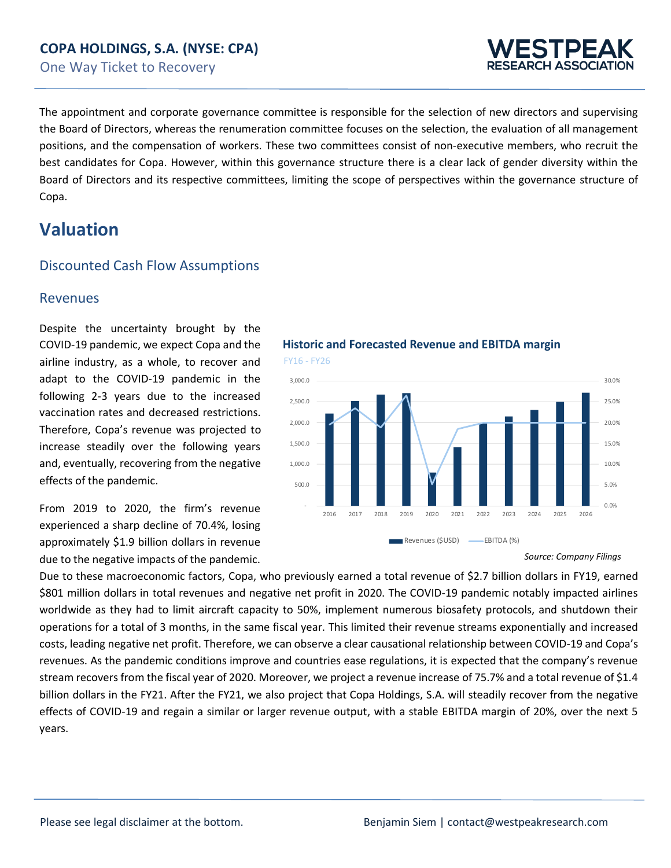

The appointment and corporate governance committee is responsible for the selection of new directors and supervising the Board of Directors, whereas the renumeration committee focuses on the selection, the evaluation of all management positions, and the compensation of workers. These two committees consist of non-executive members, who recruit the best candidates for Copa. However, within this governance structure there is a clear lack of gender diversity within the Board of Directors and its respective committees, limiting the scope of perspectives within the governance structure of Copa.

# **Valuation**

## Discounted Cash Flow Assumptions

#### Revenues

Despite the uncertainty brought by the COVID-19 pandemic, we expect Copa and the airline industry, as a whole, to recover and adapt to the COVID-19 pandemic in the following 2-3 years due to the increased vaccination rates and decreased restrictions. Therefore, Copa's revenue was projected to increase steadily over the following years and, eventually, recovering from the negative effects of the pandemic.

From 2019 to 2020, the firm's revenue experienced a sharp decline of 70.4%, losing approximately \$1.9 billion dollars in revenue due to the negative impacts of the pandemic.

FY16 - FY26 **Historic and Forecasted Revenue and EBITDA margin**



*Source: Company Filings*

Due to these macroeconomic factors, Copa, who previously earned a total revenue of \$2.7 billion dollars in FY19, earned \$801 million dollars in total revenues and negative net profit in 2020. The COVID-19 pandemic notably impacted airlines worldwide as they had to limit aircraft capacity to 50%, implement numerous biosafety protocols, and shutdown their operations for a total of 3 months, in the same fiscal year. This limited their revenue streams exponentially and increased costs, leading negative net profit. Therefore, we can observe a clear causational relationship between COVID-19 and Copa's revenues. As the pandemic conditions improve and countries ease regulations, it is expected that the company's revenue stream recovers from the fiscal year of 2020. Moreover, we project a revenue increase of 75.7% and a total revenue of \$1.4 billion dollars in the FY21. After the FY21, we also project that Copa Holdings, S.A. will steadily recover from the negative effects of COVID-19 and regain a similar or larger revenue output, with a stable EBITDA margin of 20%, over the next 5 years.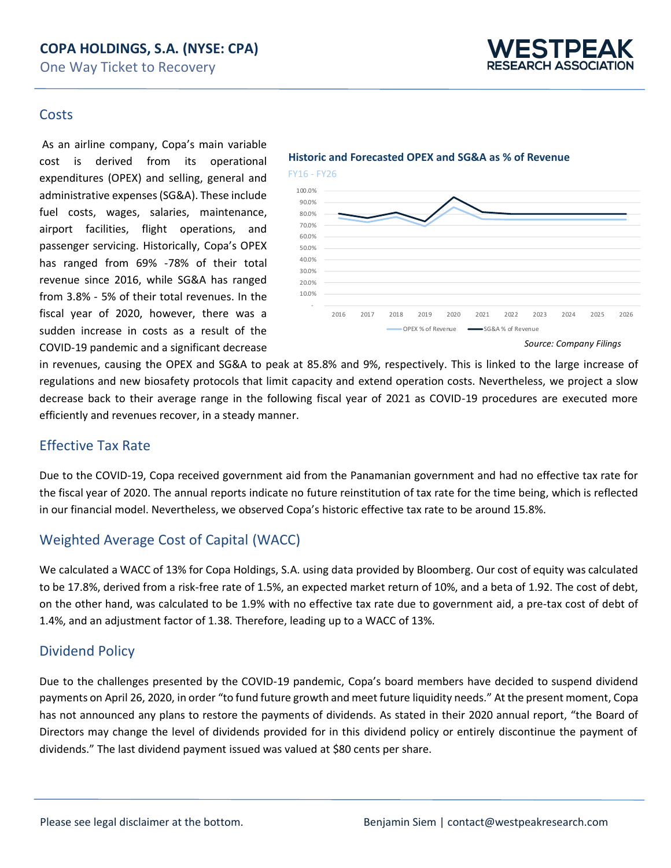# **COPA HOLDINGS, S.A. (NYSE: CPA)**

One Way Ticket to Recovery



### **Costs**

As an airline company, Copa's main variable cost is derived from its operational expenditures (OPEX) and selling, general and administrative expenses(SG&A). These include fuel costs, wages, salaries, maintenance, airport facilities, flight operations, and passenger servicing. Historically, Copa's OPEX has ranged from 69% -78% of their total revenue since 2016, while SG&A has ranged from 3.8% - 5% of their total revenues. In the fiscal year of 2020, however, there was a sudden increase in costs as a result of the COVID-19 pandemic and a significant decrease



#### **Historic and Forecasted OPEX and SG&A as % of Revenue**

in revenues, causing the OPEX and SG&A to peak at 85.8% and 9%, respectively. This is linked to the large increase of regulations and new biosafety protocols that limit capacity and extend operation costs. Nevertheless, we project a slow decrease back to their average range in the following fiscal year of 2021 as COVID-19 procedures are executed more efficiently and revenues recover, in a steady manner.

# Effective Tax Rate

Due to the COVID-19, Copa received government aid from the Panamanian government and had no effective tax rate for the fiscal year of 2020. The annual reports indicate no future reinstitution of tax rate for the time being, which is reflected in our financial model. Nevertheless, we observed Copa's historic effective tax rate to be around 15.8%.

# Weighted Average Cost of Capital (WACC)

We calculated a WACC of 13% for Copa Holdings, S.A. using data provided by Bloomberg. Our cost of equity was calculated to be 17.8%, derived from a risk-free rate of 1.5%, an expected market return of 10%, and a beta of 1.92. The cost of debt, on the other hand, was calculated to be 1.9% with no effective tax rate due to government aid, a pre-tax cost of debt of 1.4%, and an adjustment factor of 1.38. Therefore, leading up to a WACC of 13%.

# Dividend Policy

Due to the challenges presented by the COVID-19 pandemic, Copa's board members have decided to suspend dividend payments on April 26, 2020, in order "to fund future growth and meet future liquidity needs." At the present moment, Copa has not announced any plans to restore the payments of dividends. As stated in their 2020 annual report, "the Board of Directors may change the level of dividends provided for in this dividend policy or entirely discontinue the payment of dividends." The last dividend payment issued was valued at \$80 cents per share.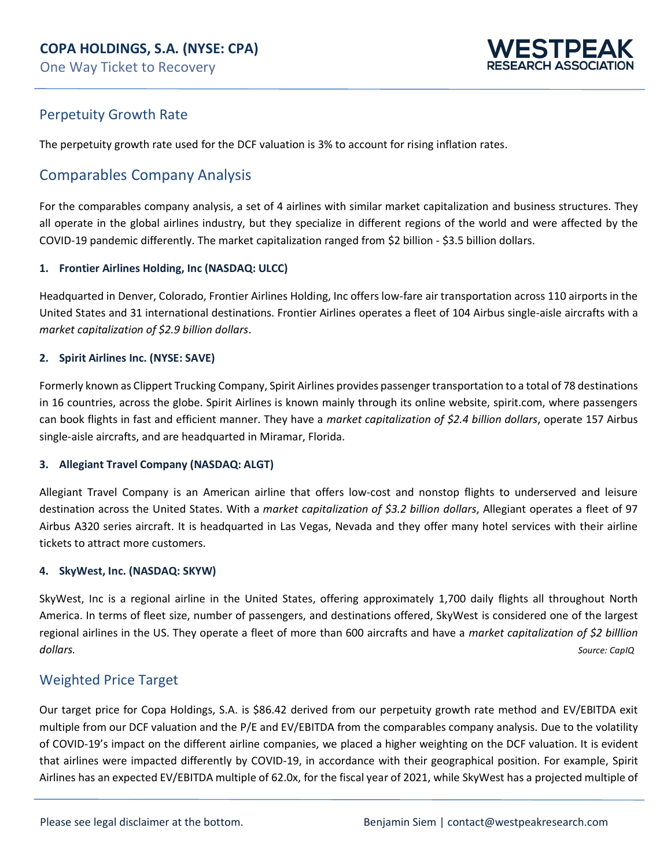

# Perpetuity Growth Rate

The perpetuity growth rate used for the DCF valuation is 3% to account for rising inflation rates.

# Comparables Company Analysis

For the comparables company analysis, a set of 4 airlines with similar market capitalization and business structures. They all operate in the global airlines industry, but they specialize in different regions of the world and were affected by the COVID-19 pandemic differently. The market capitalization ranged from \$2 billion - \$3.5 billion dollars.

#### **1. Frontier Airlines Holding, Inc (NASDAQ: ULCC)**

Headquarted in Denver, Colorado, Frontier Airlines Holding, Inc offers low-fare air transportation across 110 airports in the United States and 31 international destinations. Frontier Airlines operates a fleet of 104 Airbus single-aisle aircrafts with a *market capitalization of \$2.9 billion dollars*.

#### **2. Spirit Airlines Inc. (NYSE: SAVE)**

Formerly known as Clippert Trucking Company, Spirit Airlines provides passenger transportation to a total of 78 destinations in 16 countries, across the globe. Spirit Airlines is known mainly through its online website, spirit.com, where passengers can book flights in fast and efficient manner. They have a *market capitalization of \$2.4 billion dollars*, operate 157 Airbus single-aisle aircrafts, and are headquarted in Miramar, Florida.

#### **3. Allegiant Travel Company (NASDAQ: ALGT)**

Allegiant Travel Company is an American airline that offers low-cost and nonstop flights to underserved and leisure destination across the United States. With a *market capitalization of \$3.2 billion dollars*, Allegiant operates a fleet of 97 Airbus A320 series aircraft. It is headquarted in Las Vegas, Nevada and they offer many hotel services with their airline tickets to attract more customers.

#### **4. SkyWest, Inc. (NASDAQ: SKYW)**

SkyWest, Inc is a regional airline in the United States, offering approximately 1,700 daily flights all throughout North America. In terms of fleet size, number of passengers, and destinations offered, SkyWest is considered one of the largest regional airlines in the US. They operate a fleet of more than 600 aircrafts and have a *market capitalization of \$2 billlion dollars. Source: CapIQ*

## Weighted Price Target

Our target price for Copa Holdings, S.A. is \$86.42 derived from our perpetuity growth rate method and EV/EBITDA exit multiple from our DCF valuation and the P/E and EV/EBITDA from the comparables company analysis. Due to the volatility of COVID-19's impact on the different airline companies, we placed a higher weighting on the DCF valuation. It is evident that airlines were impacted differently by COVID-19, in accordance with their geographical position. For example, Spirit Airlines has an expected EV/EBITDA multiple of 62.0x, for the fiscal year of 2021, while SkyWest has a projected multiple of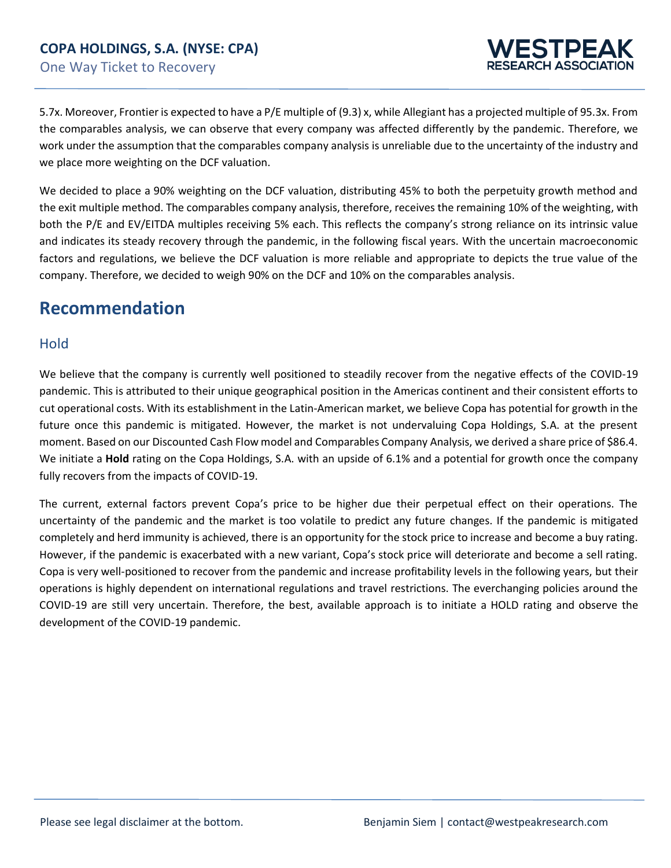

5.7x. Moreover, Frontier is expected to have a P/E multiple of (9.3) x, while Allegiant has a projected multiple of 95.3x. From the comparables analysis, we can observe that every company was affected differently by the pandemic. Therefore, we work under the assumption that the comparables company analysis is unreliable due to the uncertainty of the industry and we place more weighting on the DCF valuation.

We decided to place a 90% weighting on the DCF valuation, distributing 45% to both the perpetuity growth method and the exit multiple method. The comparables company analysis, therefore, receives the remaining 10% of the weighting, with both the P/E and EV/EITDA multiples receiving 5% each. This reflects the company's strong reliance on its intrinsic value and indicates its steady recovery through the pandemic, in the following fiscal years. With the uncertain macroeconomic factors and regulations, we believe the DCF valuation is more reliable and appropriate to depicts the true value of the company. Therefore, we decided to weigh 90% on the DCF and 10% on the comparables analysis.

# **Recommendation**

## Hold

We believe that the company is currently well positioned to steadily recover from the negative effects of the COVID-19 pandemic. This is attributed to their unique geographical position in the Americas continent and their consistent efforts to cut operational costs. With its establishment in the Latin-American market, we believe Copa has potential for growth in the future once this pandemic is mitigated. However, the market is not undervaluing Copa Holdings, S.A. at the present moment. Based on our Discounted Cash Flow model and Comparables Company Analysis, we derived a share price of \$86.4. We initiate a **Hold** rating on the Copa Holdings, S.A. with an upside of 6.1% and a potential for growth once the company fully recovers from the impacts of COVID-19.

The current, external factors prevent Copa's price to be higher due their perpetual effect on their operations. The uncertainty of the pandemic and the market is too volatile to predict any future changes. If the pandemic is mitigated completely and herd immunity is achieved, there is an opportunity for the stock price to increase and become a buy rating. However, if the pandemic is exacerbated with a new variant, Copa's stock price will deteriorate and become a sell rating. Copa is very well-positioned to recover from the pandemic and increase profitability levels in the following years, but their operations is highly dependent on international regulations and travel restrictions. The everchanging policies around the COVID-19 are still very uncertain. Therefore, the best, available approach is to initiate a HOLD rating and observe the development of the COVID-19 pandemic.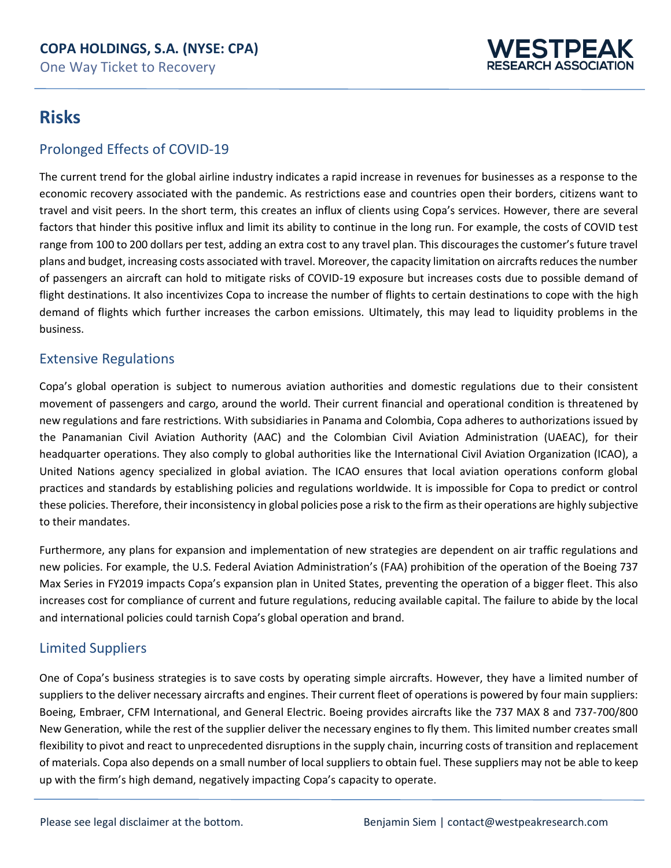

# **Risks**

# Prolonged Effects of COVID-19

The current trend for the global airline industry indicates a rapid increase in revenues for businesses as a response to the economic recovery associated with the pandemic. As restrictions ease and countries open their borders, citizens want to travel and visit peers. In the short term, this creates an influx of clients using Copa's services. However, there are several factors that hinder this positive influx and limit its ability to continue in the long run. For example, the costs of COVID test range from 100 to 200 dollars per test, adding an extra cost to any travel plan. This discourages the customer's future travel plans and budget, increasing costs associated with travel. Moreover, the capacity limitation on aircrafts reduces the number of passengers an aircraft can hold to mitigate risks of COVID-19 exposure but increases costs due to possible demand of flight destinations. It also incentivizes Copa to increase the number of flights to certain destinations to cope with the high demand of flights which further increases the carbon emissions. Ultimately, this may lead to liquidity problems in the business.

## Extensive Regulations

Copa's global operation is subject to numerous aviation authorities and domestic regulations due to their consistent movement of passengers and cargo, around the world. Their current financial and operational condition is threatened by new regulations and fare restrictions. With subsidiaries in Panama and Colombia, Copa adheres to authorizations issued by the Panamanian Civil Aviation Authority (AAC) and the Colombian Civil Aviation Administration (UAEAC), for their headquarter operations. They also comply to global authorities like the International Civil Aviation Organization (ICAO), a United Nations agency specialized in global aviation. The ICAO ensures that local aviation operations conform global practices and standards by establishing policies and regulations worldwide. It is impossible for Copa to predict or control these policies. Therefore, their inconsistency in global policies pose a risk to the firm as their operations are highly subjective to their mandates.

Furthermore, any plans for expansion and implementation of new strategies are dependent on air traffic regulations and new policies. For example, the U.S. Federal Aviation Administration's (FAA) prohibition of the operation of the Boeing 737 Max Series in FY2019 impacts Copa's expansion plan in United States, preventing the operation of a bigger fleet. This also increases cost for compliance of current and future regulations, reducing available capital. The failure to abide by the local and international policies could tarnish Copa's global operation and brand.

# Limited Suppliers

One of Copa's business strategies is to save costs by operating simple aircrafts. However, they have a limited number of suppliers to the deliver necessary aircrafts and engines. Their current fleet of operations is powered by four main suppliers: Boeing, Embraer, CFM International, and General Electric. Boeing provides aircrafts like the 737 MAX 8 and 737-700/800 New Generation, while the rest of the supplier deliver the necessary engines to fly them. This limited number creates small flexibility to pivot and react to unprecedented disruptions in the supply chain, incurring costs of transition and replacement of materials. Copa also depends on a small number of local suppliers to obtain fuel. These suppliers may not be able to keep up with the firm's high demand, negatively impacting Copa's capacity to operate.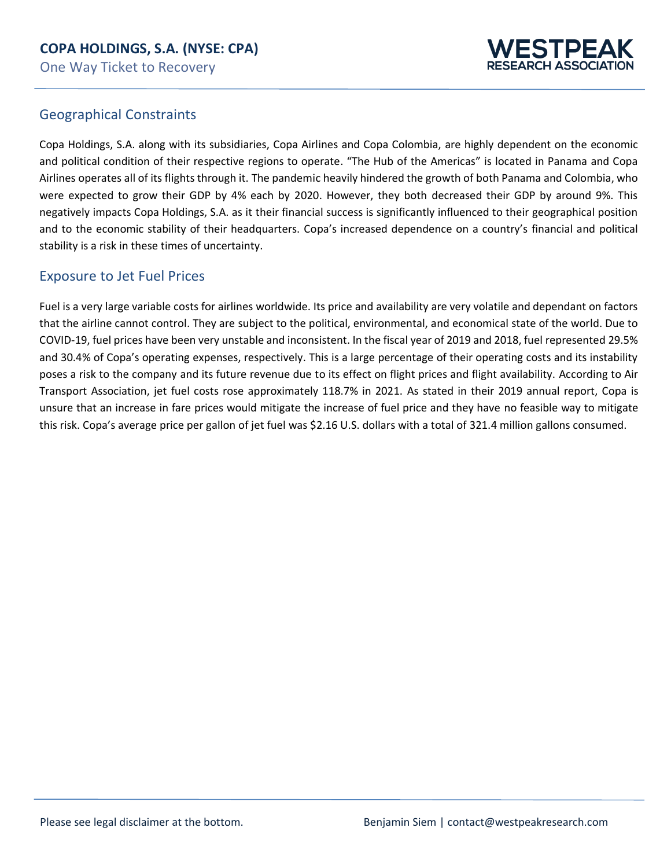

## Geographical Constraints

Copa Holdings, S.A. along with its subsidiaries, Copa Airlines and Copa Colombia, are highly dependent on the economic and political condition of their respective regions to operate. "The Hub of the Americas" is located in Panama and Copa Airlines operates all of its flights through it. The pandemic heavily hindered the growth of both Panama and Colombia, who were expected to grow their GDP by 4% each by 2020. However, they both decreased their GDP by around 9%. This negatively impacts Copa Holdings, S.A. as it their financial success is significantly influenced to their geographical position and to the economic stability of their headquarters. Copa's increased dependence on a country's financial and political stability is a risk in these times of uncertainty.

#### Exposure to Jet Fuel Prices

Fuel is a very large variable costs for airlines worldwide. Its price and availability are very volatile and dependant on factors that the airline cannot control. They are subject to the political, environmental, and economical state of the world. Due to COVID-19, fuel prices have been very unstable and inconsistent. In the fiscal year of 2019 and 2018, fuel represented 29.5% and 30.4% of Copa's operating expenses, respectively. This is a large percentage of their operating costs and its instability poses a risk to the company and its future revenue due to its effect on flight prices and flight availability. According to Air Transport Association, jet fuel costs rose approximately 118.7% in 2021. As stated in their 2019 annual report, Copa is unsure that an increase in fare prices would mitigate the increase of fuel price and they have no feasible way to mitigate this risk. Copa's average price per gallon of jet fuel was \$2.16 U.S. dollars with a total of 321.4 million gallons consumed.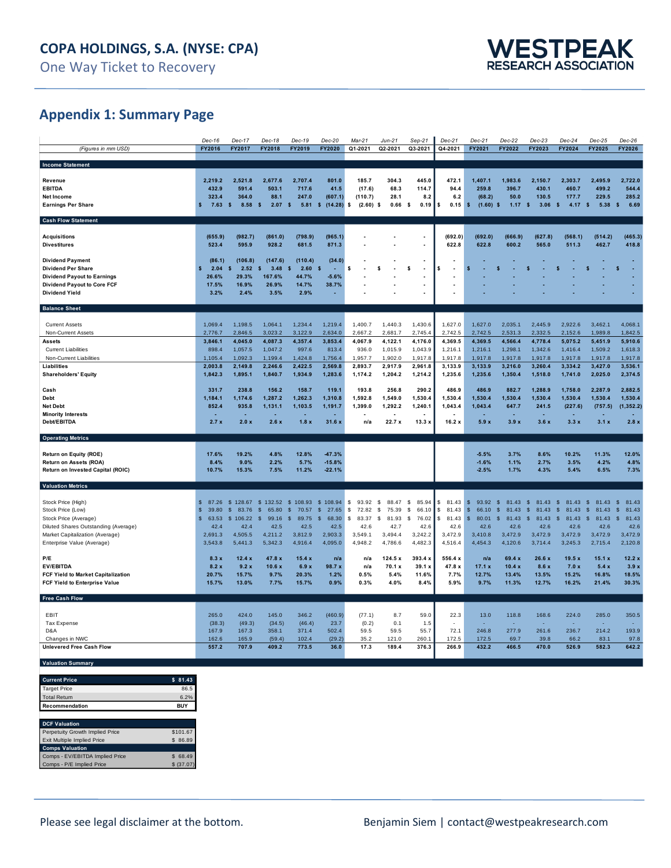# **Appendix 1: Summary Page**

|                                      | Dec-16                 | Dec-17                 | Dec-18                  | Dec-19               | Dec-20                  | Mar-21       | Jun-21      | $Sep-21$    | Dec-2       | $Dec-21$                | Dec-22                  | $Dec-23$              | Dec-24                  | $Dec-25$              | Dec-26                 |
|--------------------------------------|------------------------|------------------------|-------------------------|----------------------|-------------------------|--------------|-------------|-------------|-------------|-------------------------|-------------------------|-----------------------|-------------------------|-----------------------|------------------------|
| (Figures in mm USD)                  | FY2016                 | FY2017                 | FY2018                  | FY2019               | FY2020                  | Q1-2021      | Q2-2021     | Q3-2021     | Q4-2021     | FY2021                  | FY2022                  | FY2023                | FY2024                  | FY2025                | FY2026                 |
|                                      |                        |                        |                         |                      |                         |              |             |             |             |                         |                         |                       |                         |                       |                        |
| <b>Income Statement</b>              |                        |                        |                         |                      |                         |              |             |             |             |                         |                         |                       |                         |                       |                        |
|                                      |                        |                        |                         |                      |                         |              |             |             |             |                         |                         |                       |                         |                       |                        |
|                                      |                        |                        |                         |                      |                         |              |             |             |             |                         |                         |                       |                         |                       |                        |
| <b>Revenue</b>                       | 2.219.2                | 2.521.8                | 2,677.6                 | 2.707.4              | 801.0                   | 185.7        | 304.3       | 445.0       | 472.1       | 1,407.1                 | 1.983.6                 | 2.150.7               | 2.303.7                 | 2.495.9               | 2.722.0                |
| <b>EBITDA</b>                        | 432.9                  | 591.4                  | 503.1                   | 717.6                | 41.5                    | (17.6)       | 68.3        | 114.7       | 94.4        | 259.8                   | 396.7                   | 430.1                 | 460.7                   | 499.2                 | 544.4                  |
| <b>Net Income</b>                    | 323.4                  | 364.0                  | 88.1                    | 247.0                | (607.1)                 | (110.7)      | 28.1        | 8.2         | 6.2         | (68.2)                  | 50.0                    | 130.5                 | 177.7                   | 229.5                 | 285.2                  |
| <b>Earnings Per Share</b>            | 7.63<br>s              | 8.58<br>$\mathbf{s}$   | $\mathbf{s}$<br>2.07    | $\sqrt{5}$<br>5.81 S | $(14.28)$ \$            | $(2.60)$ \$  | 0.66        | -\$<br>0.19 | 0.15<br>Ś   | \$<br>(1.60)            | $\sqrt{2}$<br>1.17      | 3.06<br>-\$           | $\mathbf{s}$<br>4.17    | $\mathbf{s}$<br>5.38  | 6.69<br>$\sqrt{5}$     |
|                                      |                        |                        |                         |                      |                         |              |             |             |             |                         |                         |                       |                         |                       |                        |
| <b>Cash Flow Statement</b>           |                        |                        |                         |                      |                         |              |             |             |             |                         |                         |                       |                         |                       |                        |
|                                      |                        |                        |                         |                      |                         |              |             |             |             |                         |                         |                       |                         |                       |                        |
|                                      |                        |                        |                         |                      |                         |              |             |             |             |                         |                         |                       |                         |                       |                        |
| Acquisitions                         | (655.9)                | (982.7)                | (861.0)                 | (798.9)              | (965.1)                 |              |             |             | (692.0)     | (692.0)                 | (666.9)                 | (627.8)               | (568.1)                 | (514.2)               | (465.3)                |
| <b>Divestitures</b>                  | 523.4                  | 595.9                  | 928.2                   | 681.5                | 871.3                   |              |             |             | 622.8       | 622.8                   | 600.2                   | 565.0                 | 511.3                   | 462.7                 | 418.8                  |
|                                      |                        |                        |                         |                      |                         |              |             |             |             |                         |                         |                       |                         |                       |                        |
| <b>Dividend Payment</b>              | (86.1)                 | (106.8)                | (147.6)                 | (110.4)              | (34.0)                  |              |             |             |             |                         |                         |                       |                         |                       |                        |
| <b>Dividend Per Share</b>            | 2.04<br>Ś              | 2.52                   | s<br>3.48               | s<br>2.60            | $\mathbf{s}$            | s            | Ś           | s           |             | S                       |                         |                       | s                       | s                     | Ś                      |
| <b>Dividend Payout to Earnings</b>   | 26.6%                  | 29.3%                  | 167.6%                  | 44.7%                | $-5.6%$                 |              |             |             |             |                         |                         |                       |                         |                       |                        |
| Dividend Payout to Core FCF          | 17.5%                  | 16.9%                  | 26.9%                   | 14.7%                | 38.7%                   |              |             |             |             |                         |                         |                       |                         |                       |                        |
|                                      |                        |                        |                         |                      |                         |              |             |             |             |                         |                         |                       |                         |                       |                        |
| Dividend Yield                       | 3.2%                   | 2.4%                   | 3.5%                    | 2.9%                 |                         |              |             |             |             |                         |                         |                       |                         |                       |                        |
|                                      |                        |                        |                         |                      |                         |              |             |             |             |                         |                         |                       |                         |                       |                        |
| <b>Balance Sheet</b>                 |                        |                        |                         |                      |                         |              |             |             |             |                         |                         |                       |                         |                       |                        |
|                                      |                        |                        |                         |                      |                         |              |             |             |             |                         |                         |                       |                         |                       |                        |
| <b>Current Assets</b>                | 1.069.4                | 1.198.5                | 1,064.1                 | 1,234.4              | 1,219.4                 | 1.400.7      | 1,440.3     | 1,430.6     | 1,627.0     | 1,627.0                 | 2.035.1                 | 2,445.9               | 2,922.6                 | 3,462.1               | 4.068.1                |
| Non-Current Assets                   | 2,776.7                | 2,846.5                | 3,023.2                 | 3,122.9              | 2,634.0                 | 2,667.2      | 2,681.7     | 2,745.4     | 2,742.5     | 2,742.5                 | 2,531.3                 | 2,332.5               | 2,152.6                 | 1,989.8               | 1,842.5                |
| Assets                               | 3,846.1                | 4,045.0                | 4,087.3                 | 4,357.4              | 3,853.4                 | 4,067.9      | 4,122.1     | 4,176.0     | 4,369.5     | 4,369.5                 | 4,566.4                 | 4,778.4               | 5,075.2                 | 5,451.9               | 5,910.6                |
|                                      |                        |                        |                         |                      |                         |              |             |             |             |                         |                         |                       |                         |                       |                        |
| <b>Current Liabilities</b>           | 898.4                  | 1,057.5                | 1,047.2                 | 997.6                | 813.4                   | 936.0        | 1,015.9     | 1,043.9     | 1,216.1     | 1,216.1                 | 1,298.1                 | 1,342.6               | 1,416.4                 | 1,509.2               | 1,618.3                |
| Non-Current Liabilities              | 1,105.4                | 1,092.3                | 1,199.4                 | 1,424.8              | 1,756.4                 | 1,957.7      | 1,902.0     | 1,917.8     | 1.917.8     | 1,917.8                 | 1,917.8                 | 1,917.8               | 1,917.8                 | 1,917.8               | 1,917.8                |
| Liabilities                          | 2,003.8                | 2,149.8                | 2,246.6                 | 2,422.5              | 2,569.8                 | 2,893.7      | 2,917.9     | 2,961.8     | 3,133.9     | 3,133.9                 | 3,216.0                 | 3,260.4               | 3,334.2                 | 3,427.0               | 3,536.1                |
| <b>Shareholders' Equity</b>          | 1,842.3                | 1,895.1                | 1,840.7                 | 1,934.9              | 1,283.6                 | 1,174.2      | 1,204.2     | 1,214.2     | 1,235.6     | 1,235.6                 | 1,350.4                 | 1,518.0               | 1,741.0                 | 2,025.0               | 2,374.5                |
|                                      |                        |                        |                         |                      |                         |              |             |             |             |                         |                         |                       |                         |                       |                        |
| Cash                                 | 331.7                  | 238.8                  | 156.2                   | 158.7                | 119.1                   | 193.8        | 256.8       | 290.2       | 486.9       | 486.9                   | 882.7                   | 1,288.9               | 1,758.0                 | 2,287.9               | 2,882.5                |
|                                      |                        |                        |                         |                      |                         |              |             |             |             |                         |                         |                       |                         |                       |                        |
| Debt                                 | 1,184.1                | 1,174.6                | 1,287.2                 | 1,262.3              | 1,310.8                 | 1,592.8      | 1,549.0     | 1,530.4     | 1,530.4     | 1,530.4                 | 1,530.4                 | 1,530.4               | 1,530.4                 | 1,530.4               | 1,530.4                |
| <b>Net Debt</b>                      | 852.4                  | 935.8                  | 1,131.1                 | 1,103.5              | 1,191.7                 | 1,399.0      | 1,292.2     | 1,240.1     | 1,043.4     | 1,043.4                 | 647.7                   | 241.5                 | (227.6)                 | (757.5)               | (1, 352.2)             |
| <b>Minority Interests</b>            |                        |                        |                         |                      |                         |              |             |             |             |                         |                         |                       |                         |                       |                        |
| Debt/EBITDA                          | 2.7x                   | 2.0x                   | 2.6x                    | 1.8x                 | 31.6x                   | n/a          | 22.7 x      | 13.3x       | 16.2x       | 5.9x                    | 3.9x                    | 3.6x                  | 3.3x                    | 3.1 x                 | 2.8x                   |
|                                      |                        |                        |                         |                      |                         |              |             |             |             |                         |                         |                       |                         |                       |                        |
| <b>Operating Metrics</b>             |                        |                        |                         |                      |                         |              |             |             |             |                         |                         |                       |                         |                       |                        |
|                                      |                        |                        |                         |                      |                         |              |             |             |             |                         |                         |                       |                         |                       |                        |
| Return on Equity (ROE)               | 17.6%                  | 19.2%                  | 4.8%                    | 12.8%                | -47.3%                  |              |             |             |             | $-5.5%$                 | 3.7%                    | 8.6%                  | 10.2%                   | 11.3%                 | 12.0%                  |
|                                      | 8.4%                   | 9.0%                   | 2.2%                    | 5.7%                 | $-15.8%$                |              |             |             |             | $-1.6%$                 | 1.1%                    | 2.7%                  | 3.5%                    | 4.2%                  | 4.8%                   |
| Return on Assets (ROA)               |                        |                        |                         |                      |                         |              |             |             |             |                         |                         |                       |                         |                       |                        |
| Return on Invested Capital (ROIC)    | 10.7%                  | 15.3%                  | 7.5%                    | 11.2%                | $-22.1%$                |              |             |             |             | $-2.5%$                 | 1.7%                    | 4.3%                  | 5.4%                    | 6.5%                  | 7.3%                   |
|                                      |                        |                        |                         |                      |                         |              |             |             |             |                         |                         |                       |                         |                       |                        |
| <b>Valuation Metrics</b>             |                        |                        |                         |                      |                         |              |             |             |             |                         |                         |                       |                         |                       |                        |
|                                      |                        |                        |                         |                      |                         |              |             |             |             |                         |                         |                       |                         |                       |                        |
| Stock Price (High)                   | \$<br>87.26            | \$128.67 \$132.52      |                         | \$108.93             | \$108.94                | -S<br>93.92  | \$<br>88.47 | \$<br>85.94 | \$<br>81.43 | $\mathfrak{s}$<br>93.92 | 81.43<br>$\sqrt{3}$     | 81.43<br>$\mathbb{S}$ | 81.43<br>$\mathsf{\$}$  | -S<br>81.43           | $\mathbf{\$}$<br>81.43 |
| Stock Price (Low)                    | $\mathsf{\$}$<br>39.80 | $\mathbf{s}$<br>83.76  | $\mathfrak{s}$<br>65.80 | S.<br>70.57          | \$<br>27.65             | 72.82<br>\$  | \$<br>75.39 | \$<br>66.10 | Ŝ<br>81.43  | $\mathsf{\$}$<br>66.10  | $\mathfrak{s}$<br>81.43 | $\mathbb{S}$<br>81.43 | $\mathfrak{s}$<br>81.43 | $\mathsf{s}$<br>81.43 | \$<br>81.43            |
|                                      | $\mathbf{s}$           | 106.22<br>$\mathbf{s}$ | 99.16<br>$\mathfrak{L}$ | $\mathsf{\$}$        | 68.30<br>$\mathfrak{L}$ | 83.37<br>\$. | \$<br>81.93 | \$<br>76.02 | 81.43<br>S  | $\mathsf{\$}$<br>80.01  | 81.43                   | 81.43<br>-S           | $\mathsf{\$}$<br>81.43  | $\mathsf{s}$<br>81.43 | $\mathbf{s}$<br>81.43  |
| Stock Price (Average)                | 63.53<br>42.4          |                        |                         | 89.75                |                         |              |             |             |             | 42.6                    | $\mathfrak{s}$          |                       |                         |                       |                        |
| Diluted Shares Outstanding (Average) |                        | 42.4                   | 42.5                    | 42.5                 | 42.5                    | 42.6         | 42.7        | 42.6        | 42.6        |                         | 42.6                    | 42.6                  | 42.6                    | 42.6                  | 42.6                   |
| Market Capitalization (Average)      | 2,691.3                | 4,505.5                | 4,211.2                 | 3,812.9              | 2,903.3                 | 3,549.1      | 3,494.4     | 3,242.2     | 3,472.9     | 3,410.8                 | 3,472.9                 | 3,472.9               | 3,472.9                 | 3,472.9               | 3,472.9                |
| Enterprise Value (Average)           | 3,543.8                | 5,441.3                | 5,342.3                 | 4,916.4              | 4,095.0                 | 4,948.2      | 4,786.6     | 4,482.3     | 4,516.4     | 4,454.3                 | 4,120.6                 | 3,714.4               | 3,245.3                 | 2,715.4               | 2,120.8                |
|                                      |                        |                        |                         |                      |                         |              |             |             |             |                         |                         |                       |                         |                       |                        |
| P/E                                  | 8.3x                   | 12.4x                  | 47.8 x                  | 15.4x                | n/a                     | n/a          | 124.5 x     | 393.4 x     | 556.4 x     | n/a                     | 69.4 x                  | 26.6 x                | 19.5x                   | 15.1 x                | 12.2x                  |
| <b>EV/EBITDA</b>                     | 8.2x                   | 9.2x                   | 10.6x                   | 6.9x                 | 98.7x                   | n/a          | 70.1 x      | 39.1x       | 47.8 x      | 17.1 x                  | 10.4x                   | 8.6x                  | 7.0x                    | 5.4x                  | 3.9x                   |
| FCF Yield to Market Capitalization   | 20.7%                  | 15.7%                  | 9.7%                    | 20.3%                | 1.2%                    | 0.5%         | 5.4%        | 11.6%       | 7.7%        | 12.7%                   | 13.4%                   | 13.5%                 | 15.2%                   | 16.8%                 | 18.5%                  |
| FCF Yield to Enterprise Value        | 15.7%                  | 13.0%                  | 7.7%                    | 15.7%                | 0.9%                    | 0.3%         | 4.0%        | 8.4%        | 5.9%        | 9.7%                    | 11.3%                   | 12.7%                 | 16.2%                   | 21.4%                 | 30.3%                  |
|                                      |                        |                        |                         |                      |                         |              |             |             |             |                         |                         |                       |                         |                       |                        |
|                                      |                        |                        |                         |                      |                         |              |             |             |             |                         |                         |                       |                         |                       |                        |
| <b>Free Cash Flow</b>                |                        |                        |                         |                      |                         |              |             |             |             |                         |                         |                       |                         |                       |                        |
|                                      |                        |                        |                         |                      |                         |              |             |             |             |                         |                         |                       |                         |                       |                        |
| EBIT                                 | 265.0                  | 424.0                  | 145.0                   | 346.2                | (460.9)                 | (77.1)       | 8.7         | 59.0        | 22.3        | 13.0                    | 118.8                   | 168.6                 | 224.0                   | 285.0                 | 350.5                  |
| <b>Tax Expense</b>                   | (38.3)                 | (49.3)                 | (34.5)                  | (46.4)               | 23.7                    | (0.2)        | 0.1         | 1.5         |             |                         |                         |                       |                         |                       |                        |
| D&A                                  | 167.9                  | 167.3                  | 358.1                   | 371.4                | 502.4                   | 59.5         | 59.5        | 55.7        | 72.1        | 246.8                   | 277.9                   | 261.6                 | 236.7                   | 214.2                 | 193.9                  |
| Changes in NWC                       | 162.6                  | 165.9                  | (59.4)                  | 102.4                | (29.2)                  | 35.2         | 121.0       | 260.1       | 172.5       | 172.5                   | 69.7                    | 39.8                  | 66.2                    | 83.1                  | 97.8                   |
|                                      | 557.2                  | 707.9                  | 409.2                   | 773.5                | 36.0                    | 17.3         | 189.4       | 376.3       | 266.9       | 432.2                   | 466.5                   | 470.0                 | 526.9                   | 582.3                 | 642.2                  |
| <b>Unlevered Free Cash Flow</b>      |                        |                        |                         |                      |                         |              |             |             |             |                         |                         |                       |                         |                       |                        |
|                                      |                        |                        |                         |                      |                         |              |             |             |             |                         |                         |                       |                         |                       |                        |

#### **Valuation Summary**

| <b>Current Price</b> | 81.43      |
|----------------------|------------|
| <b>Target Price</b>  | 86.5       |
| <b>Total Retum</b>   | 6.2%       |
|                      |            |
| Recommendation       | <b>BUY</b> |
|                      |            |
| <b>DCF Valuation</b> |            |

| \$86.89    |
|------------|
|            |
|            |
| \$68.49    |
| \$ (37.07) |
|            |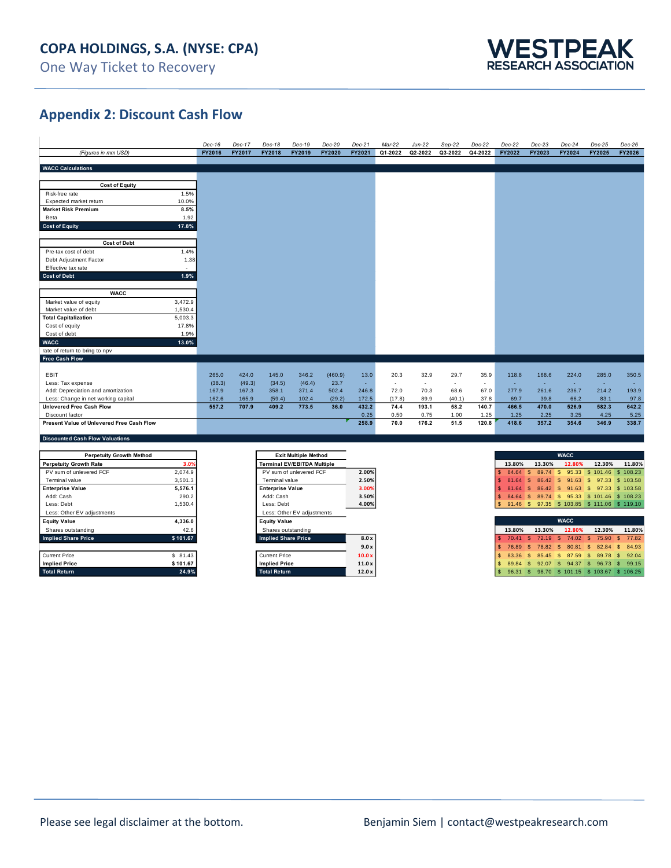

## **Appendix 2: Discount Cash Flow**

|                                                         |                          | Dec-16 | Dec-17 | Dec-18                     | Dec-19                             | $Dec-20$      | $Dec-21$ | Mar-22  | Jun-22                   | $Sep-22$                 | $Dec-22$                 | $Dec-22$                         | $Dec-23$              | $Dec-24$              | $Dec-25$                                 | $Dec-26$            |
|---------------------------------------------------------|--------------------------|--------|--------|----------------------------|------------------------------------|---------------|----------|---------|--------------------------|--------------------------|--------------------------|----------------------------------|-----------------------|-----------------------|------------------------------------------|---------------------|
| (Figures in mm USD)                                     |                          | FY2016 | FY2017 | FY2018                     | FY2019                             | <b>FY2020</b> | FY2021   | Q1-2022 | Q2-2022                  | Q3-2022                  | Q4-2022                  | FY2022                           | FY2023                | FY2024                | FY2025                                   | FY2026              |
|                                                         |                          |        |        |                            |                                    |               |          |         |                          |                          |                          |                                  |                       |                       |                                          |                     |
| <b>WACC Calculations</b>                                |                          |        |        |                            |                                    |               |          |         |                          |                          |                          |                                  |                       |                       |                                          |                     |
|                                                         |                          |        |        |                            |                                    |               |          |         |                          |                          |                          |                                  |                       |                       |                                          |                     |
| <b>Cost of Equity</b>                                   |                          |        |        |                            |                                    |               |          |         |                          |                          |                          |                                  |                       |                       |                                          |                     |
| Risk-free rate                                          | 1.5%                     |        |        |                            |                                    |               |          |         |                          |                          |                          |                                  |                       |                       |                                          |                     |
| Expected market return                                  | 10.0%                    |        |        |                            |                                    |               |          |         |                          |                          |                          |                                  |                       |                       |                                          |                     |
| <b>Market Risk Premium</b>                              | 8.5%                     |        |        |                            |                                    |               |          |         |                          |                          |                          |                                  |                       |                       |                                          |                     |
| Beta                                                    | 1.92                     |        |        |                            |                                    |               |          |         |                          |                          |                          |                                  |                       |                       |                                          |                     |
| <b>Cost of Equity</b>                                   | 17.8%                    |        |        |                            |                                    |               |          |         |                          |                          |                          |                                  |                       |                       |                                          |                     |
|                                                         |                          |        |        |                            |                                    |               |          |         |                          |                          |                          |                                  |                       |                       |                                          |                     |
| <b>Cost of Debt</b>                                     |                          |        |        |                            |                                    |               |          |         |                          |                          |                          |                                  |                       |                       |                                          |                     |
| Pre-tax cost of debt                                    | 1.4%                     |        |        |                            |                                    |               |          |         |                          |                          |                          |                                  |                       |                       |                                          |                     |
| Debt Adjustment Factor                                  | 1.38                     |        |        |                            |                                    |               |          |         |                          |                          |                          |                                  |                       |                       |                                          |                     |
| Effective tax rate                                      | $\overline{\phantom{a}}$ |        |        |                            |                                    |               |          |         |                          |                          |                          |                                  |                       |                       |                                          |                     |
| <b>Cost of Debt</b>                                     | 1.9%                     |        |        |                            |                                    |               |          |         |                          |                          |                          |                                  |                       |                       |                                          |                     |
|                                                         |                          |        |        |                            |                                    |               |          |         |                          |                          |                          |                                  |                       |                       |                                          |                     |
| <b>WACC</b>                                             |                          |        |        |                            |                                    |               |          |         |                          |                          |                          |                                  |                       |                       |                                          |                     |
| Market value of equity                                  | 3,472.9                  |        |        |                            |                                    |               |          |         |                          |                          |                          |                                  |                       |                       |                                          |                     |
| Market value of debt                                    | 1,530.4<br>5,003.3       |        |        |                            |                                    |               |          |         |                          |                          |                          |                                  |                       |                       |                                          |                     |
| <b>Total Capitalization</b>                             |                          |        |        |                            |                                    |               |          |         |                          |                          |                          |                                  |                       |                       |                                          |                     |
| Cost of equity<br>Cost of debt                          | 17.8%<br>1.9%            |        |        |                            |                                    |               |          |         |                          |                          |                          |                                  |                       |                       |                                          |                     |
| <b>WACC</b>                                             |                          |        |        |                            |                                    |               |          |         |                          |                          |                          |                                  |                       |                       |                                          |                     |
|                                                         | 13.0%                    |        |        |                            |                                    |               |          |         |                          |                          |                          |                                  |                       |                       |                                          |                     |
| rate of return to bring to npv<br><b>Free Cash Flow</b> |                          |        |        |                            |                                    |               |          |         |                          |                          |                          |                                  |                       |                       |                                          |                     |
|                                                         |                          |        |        |                            |                                    |               |          |         |                          |                          |                          |                                  |                       |                       |                                          |                     |
| EBIT                                                    |                          | 265.0  | 424.0  | 145.0                      | 346.2                              | (460.9)       | 13.0     | 20.3    | 32.9                     | 29.7                     | 35.9                     | 118.8                            | 168.6                 | 224.0                 | 285.0                                    | 350.5               |
| Less: Tax expense                                       |                          | (38.3) | (49.3) | (34.5)                     | (46.4)                             | 23.7          | $\sim$   | $\sim$  | $\overline{\phantom{a}}$ | $\overline{\phantom{a}}$ | $\overline{\phantom{a}}$ |                                  | ÷                     |                       |                                          | ÷.                  |
| Add: Depreciation and amortization                      |                          | 167.9  | 167.3  | 358.1                      | 371.4                              | 502.4         | 246.8    | 72.0    | 70.3                     | 68.6                     | 67.0                     | 277.9                            | 261.6                 | 236.7                 | 214.2                                    | 193.9               |
| Less: Change in net working capital                     |                          | 162.6  | 165.9  | (59.4)                     | 102.4                              | (29.2)        | 172.5    | (17.8)  | 89.9                     | (40.1)                   | 37.8                     | 69.7                             | 39.8                  | 66.2                  | 83.1                                     | 97.8                |
| <b>Unlevered Free Cash Flow</b>                         |                          | 557.2  | 707.9  | 409.2                      | 773.5                              | 36.0          | 432.2    | 74.4    | 193.1                    | 58.2                     | 140.7                    | 466.5                            | 470.0                 | 526.9                 | 582.3                                    | 642.2               |
| Discount factor                                         |                          |        |        |                            |                                    |               | 0.25     | 0.50    | 0.75                     | 1.00                     | 1.25                     | 1.25                             | 2.25                  | 3.25                  | 4.25                                     | 5.25                |
| Present Value of Unlevered Free Cash Flow               |                          |        |        |                            |                                    |               | 258.9    | 70.0    | 176.2                    | 51.5                     | 120.8                    | 418.6                            | 357.2                 | 354.6                 | 346.9                                    | 338.7               |
|                                                         |                          |        |        |                            |                                    |               |          |         |                          |                          |                          |                                  |                       |                       |                                          |                     |
| <b>Discounted Cash Flow Valuations</b>                  |                          |        |        |                            |                                    |               |          |         |                          |                          |                          |                                  |                       |                       |                                          |                     |
|                                                         |                          |        |        |                            |                                    |               |          |         |                          |                          |                          |                                  |                       |                       |                                          |                     |
| <b>Perpetuity Growth Method</b>                         |                          |        |        |                            | <b>Exit Multiple Method</b>        |               |          |         |                          |                          |                          |                                  |                       | <b>WACC</b>           |                                          |                     |
| <b>Perpetuity Growth Rate</b>                           | 3.0%                     |        |        |                            | <b>Terminal EV/EBITDA Multiple</b> |               |          |         |                          |                          |                          | 13.80%                           | 13.30%                | 12.80%                | 12.30%                                   | 11.80%              |
| PV sum of unlevered FCF                                 | 2,074.9                  |        |        |                            | PV sum of unlevered FCF            |               | 2.00%    |         |                          |                          |                          | 84.64<br>\$                      | 89.74<br>$\mathbb{S}$ | 95.33<br>$\mathsf{s}$ | \$101.46                                 | \$108.23            |
| Terminal value                                          | 3,501.3                  |        |        | Terminal value             |                                    |               | 2.50%    |         |                          |                          |                          | $\mathbf{s}$<br>81.64            | 86.42<br>$\mathbf{s}$ | $\mathsf{s}$<br>91.63 | \$97.33                                  | \$103.58            |
| <b>Enterprise Value</b>                                 | 5,576.1                  |        |        | <b>Enterprise Value</b>    |                                    |               | 3.00%    |         |                          |                          |                          | $\mathbf{s}$<br>81.64            | 86.42<br>\$           | $\sqrt{s}$<br>91.63   | \$ 97.33 \$ 103.58                       |                     |
| Add: Cash                                               | 290.2                    |        |        | Add: Cash                  |                                    |               | 3.50%    |         |                          |                          |                          | $\mathbf{\hat{s}}$<br>84.64 \$   |                       |                       | 89.74 \$ 95.33 \$ 101.46 \$ 108.23       |                     |
| Less: Debt                                              | 1,530.4                  |        |        | Less: Debt                 |                                    |               | 4.00%    |         |                          |                          |                          |                                  |                       |                       | 91.46 \$97.35 \$103.85 \$111.06 \$119.10 |                     |
| Less: Other EV adjustments                              |                          |        |        |                            | Less: Other EV adjustments         |               |          |         |                          |                          |                          |                                  |                       | <b>WACC</b>           |                                          |                     |
| <b>Equity Value</b>                                     | 4,336.0                  |        |        | <b>Equity Value</b>        |                                    |               |          |         |                          |                          |                          |                                  |                       |                       |                                          |                     |
| Shares outstanding                                      | 42.6                     |        |        | Shares outstanding         |                                    |               |          |         |                          |                          |                          | 13.80%                           | 13.30%                | 12.80%                | 12.30%                                   | 11.80%              |
| <b>Implied Share Price</b>                              | \$101.67                 |        |        | <b>Implied Share Price</b> |                                    |               | 8.0x     |         |                          |                          |                          | 70.41<br>\$                      | 72.19<br>-S           | <b>S</b><br>74.02     | 75.90<br>\$                              | 77.82<br>-S         |
|                                                         |                          |        |        |                            |                                    |               | 9.0 x    |         |                          |                          |                          | $\mathbf{s}$<br>76.89            | 78.82<br>-\$          | $\mathbb{S}$<br>80.81 | $\sqrt{2}$<br>82.84                      | 84.93<br>\$         |
| <b>Current Price</b>                                    | \$81.43                  |        |        | <b>Current Price</b>       |                                    |               | 10.0x    |         |                          |                          |                          | $\mathbf{s}$<br>83.36            | 85.45<br>-S           | $\mathbf{s}$<br>87.59 | $\sqrt{3}$<br>89.78                      | 92.04<br>- \$       |
| <b>Implied Price</b>                                    | \$101.67                 |        |        | <b>Implied Price</b>       |                                    |               | 11.0 x   |         |                          |                          |                          | $\mathbf{s}$<br>89.84            | $\mathbf{s}$          |                       | 92.07 \$ 94.37 \$ 96.73                  | $\sqrt{3}$<br>99.15 |
| <b>Total Return</b>                                     | 24.9%                    |        |        | <b>Total Return</b>        |                                    |               | 12.0 x   |         |                          |                          |                          | $\mathbf{\hat{s}}$<br>$96.31$ \$ |                       |                       | 98.70 \$ 101.15 \$ 103.67 \$ 106.25      |                     |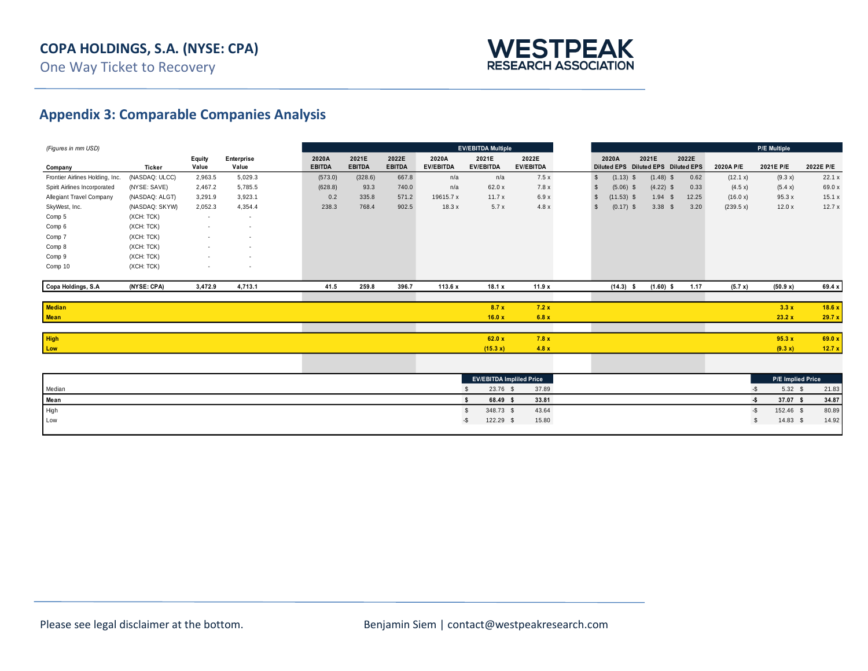



# **Appendix 3: Comparable Companies Analysis**

| (Figures in mm USD)             |                |                          |                     |                        |                        |                        |                           | <b>EV/EBITDA Multiple</b>       |                           |     |              |       |             |                                              |           | <b>P/E Multiple</b>        |           |
|---------------------------------|----------------|--------------------------|---------------------|------------------------|------------------------|------------------------|---------------------------|---------------------------------|---------------------------|-----|--------------|-------|-------------|----------------------------------------------|-----------|----------------------------|-----------|
| Company                         | Ticker         | Equity<br>Value          | Enterprise<br>Value | 2020A<br><b>EBITDA</b> | 2021E<br><b>EBITDA</b> | 2022E<br><b>EBITDA</b> | 2020A<br><b>EV/EBITDA</b> | 2021E<br><b>EV/EBITDA</b>       | 2022E<br><b>EV/EBITDA</b> |     | 2020A        | 2021E |             | 2022E<br>Diluted EPS Diluted EPS Diluted EPS | 2020A P/E | 2021E P/E                  | 2022E P/E |
| Frontier Airlines Holding, Inc. | (NASDAQ: ULCC) | 2,963.5                  | 5,029.3             | (573.0)                | (328.6)                | 667.8                  | n/a                       | n/a                             | 7.5x                      | -9  | $(1.13)$ \$  |       | $(1.48)$ \$ | 0.62                                         | (12.1 x)  | (9.3 x)                    | 22.1 x    |
| Spirit Airlines Incorporated    | (NYSE: SAVE)   | 2,467.2                  | 5,785.5             | (628.8)                | 93.3                   | 740.0                  | n/a                       | 62.0 x                          | 7.8x                      |     | $(5.06)$ \$  |       | $(4.22)$ \$ | 0.33                                         | (4.5 x)   | (5.4 x)                    | 69.0 x    |
| Allegiant Travel Company        | (NASDAQ: ALGT) | 3,291.9                  | 3,923.1             | 0.2                    | 335.8                  | 571.2                  | 19615.7 x                 | 11.7x                           | 6.9x                      | - 9 | $(11.53)$ \$ |       | $1.94$ \$   | 12.25                                        | (16.0 x)  | 95.3x                      | 15.1x     |
| SkyWest, Inc.                   | (NASDAQ: SKYW) | 2,052.3                  | 4,354.4             | 238.3                  | 768.4                  | 902.5                  | 18.3x                     | 5.7x                            | 4.8x                      | -9  | $(0.17)$ \$  |       | $3.38$ \$   | 3.20                                         | (239.5 x) | 12.0x                      | 12.7x     |
| Comp 5                          | (XCH: TCK)     | $\sim$                   |                     |                        |                        |                        |                           |                                 |                           |     |              |       |             |                                              |           |                            |           |
| Comp 6                          | (XCH: TCK)     |                          |                     |                        |                        |                        |                           |                                 |                           |     |              |       |             |                                              |           |                            |           |
| Comp 7                          | (XCH: TCK)     | $\overline{\phantom{a}}$ | ٠                   |                        |                        |                        |                           |                                 |                           |     |              |       |             |                                              |           |                            |           |
| Comp 8                          | (XCH: TCK)     |                          |                     |                        |                        |                        |                           |                                 |                           |     |              |       |             |                                              |           |                            |           |
| Comp 9                          | (XCH: TCK)     |                          |                     |                        |                        |                        |                           |                                 |                           |     |              |       |             |                                              |           |                            |           |
| Comp 10                         | (XCH: TCK)     | $\overline{\phantom{a}}$ | ٠                   |                        |                        |                        |                           |                                 |                           |     |              |       |             |                                              |           |                            |           |
|                                 |                |                          |                     |                        |                        |                        |                           |                                 |                           |     |              |       |             |                                              |           |                            |           |
| Copa Holdings, S.A              | (NYSE: CPA)    | 3,472.9                  | 4,713.1             | 41.5                   | 259.8                  | 396.7                  | 113.6 x                   | 18.1 x                          | 11.9x                     |     | $(14.3)$ \$  |       | $(1.60)$ \$ | 1.17                                         | (5.7 x)   | (50.9 x)                   | 69.4 x    |
|                                 |                |                          |                     |                        |                        |                        |                           |                                 |                           |     |              |       |             |                                              |           |                            |           |
| <b>Median</b>                   |                |                          |                     |                        |                        |                        |                           | 8.7 x                           | 7.2x                      |     |              |       |             |                                              |           | 3.3x                       | 18.6 x    |
| <b>Mean</b>                     |                |                          |                     |                        |                        |                        |                           | 16.0 x                          | 6.8x                      |     |              |       |             |                                              |           | 23.2 x                     | 29.7 x    |
|                                 |                |                          |                     |                        |                        |                        |                           |                                 |                           |     |              |       |             |                                              |           |                            |           |
| High                            |                |                          |                     |                        |                        |                        |                           | 62.0 x                          | 7.8x                      |     |              |       |             |                                              |           | 95.3x                      | 69.0 x    |
| Low                             |                |                          |                     |                        |                        |                        |                           | (15.3 x)                        | 4.8x                      |     |              |       |             |                                              |           | (9.3 x)                    | 12.7x     |
|                                 |                |                          |                     |                        |                        |                        |                           |                                 |                           |     |              |       |             |                                              |           |                            |           |
|                                 |                |                          |                     |                        |                        |                        |                           |                                 |                           |     |              |       |             |                                              |           |                            |           |
|                                 |                |                          |                     |                        |                        |                        |                           | <b>EV/EBITDA Impliled Price</b> |                           |     |              |       |             |                                              |           | <b>P/E Implied Price</b>   |           |
| Median                          |                |                          |                     |                        |                        |                        |                           | 23.76 \$                        | 37.89                     |     |              |       |             |                                              |           | $-\$$<br>$5.32$ \$         | 21.83     |
| Mean                            |                |                          |                     |                        |                        |                        |                           | 68.49 \$<br><b>s</b>            | 33.81                     |     |              |       |             |                                              |           | $\cdot$<br>$37.07$ \$      | 34.87     |
| High                            |                |                          |                     |                        |                        |                        |                           | $\mathbf{s}$<br>348.73 \$       | 43.64                     |     |              |       |             |                                              |           | $-\$$<br>152.46 \$         | 80.89     |
| Low                             |                |                          |                     |                        |                        |                        |                           | 122.29 \$<br>-\$                | 15.80                     |     |              |       |             |                                              |           | $14.83$ \$<br>$\mathbf{s}$ | 14.92     |
|                                 |                |                          |                     |                        |                        |                        |                           |                                 |                           |     |              |       |             |                                              |           |                            |           |